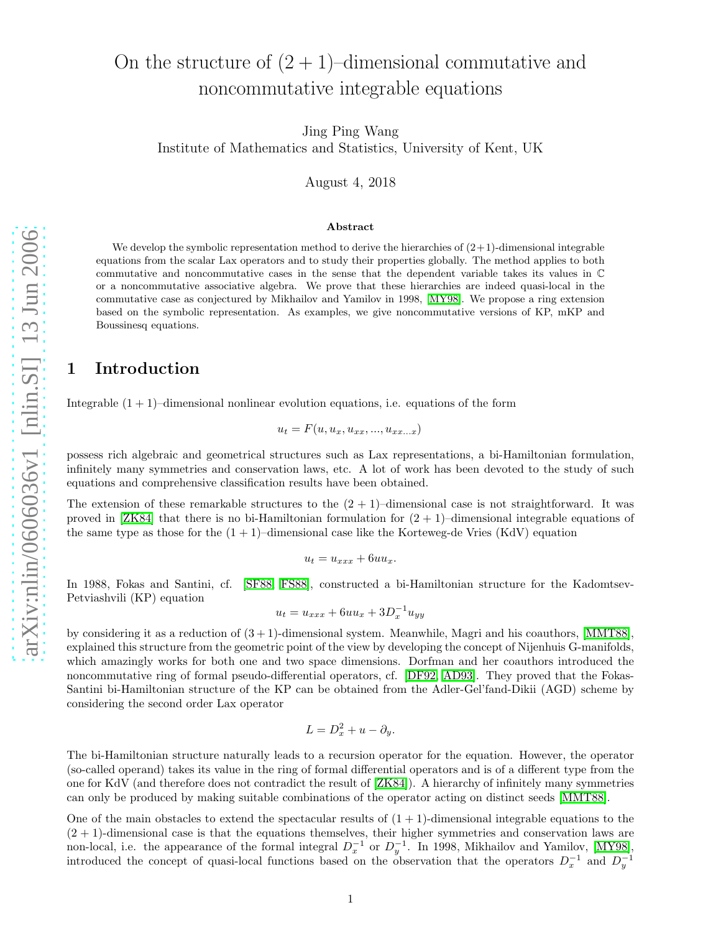# On the structure of  $(2 + 1)$ –dimensional commutative and noncommutative integrable equations

Jing Ping Wang Institute of Mathematics and Statistics, University of Kent, UK

August 4, 2018

### Abstract

We develop the symbolic representation method to derive the hierarchies of  $(2+1)$ -dimensional integrable equations from the scalar Lax operators and to study their properties globally. The method applies to both commutative and noncommutative cases in the sense that the dependent variable takes its values in C or a noncommutative associative algebra. We prove that these hierarchies are indeed quasi-local in the commutative case as conjectured by Mikhailov and Yamilov in 1998, [\[MY98\]](#page-15-0). We propose a ring extension based on the symbolic representation. As examples, we give noncommutative versions of KP, mKP and Boussinesq equations.

# 1 Introduction

Integrable  $(1 + 1)$ –dimensional nonlinear evolution equations, i.e. equations of the form

$$
u_t = F(u, u_x, u_{xx}, \ldots, u_{xx\ldots x})
$$

possess rich algebraic and geometrical structures such as Lax representations, a bi-Hamiltonian formulation, infinitely many symmetries and conservation laws, etc. A lot of work has been devoted to the study of such equations and comprehensive classification results have been obtained.

The extension of these remarkable structures to the  $(2 + 1)$ –dimensional case is not straightforward. It was proved in [\[ZK84\]](#page-16-0) that there is no bi-Hamiltonian formulation for  $(2 + 1)$ –dimensional integrable equations of the same type as those for the  $(1 + 1)$ –dimensional case like the Korteweg-de Vries (KdV) equation

$$
u_t = u_{xxx} + 6uu_x.
$$

In 1988, Fokas and Santini, cf. [\[SF88,](#page-15-1) [FS88\]](#page-15-2), constructed a bi-Hamiltonian structure for the Kadomtsev-Petviashvili (KP) equation

$$
u_t = u_{xxx} + 6uu_x + 3D_x^{-1}u_{yy}
$$

by considering it as a reduction of  $(3 + 1)$ -dimensional system. Meanwhile, Magri and his coauthors, [\[MMT88\]](#page-15-3), explained this structure from the geometric point of the view by developing the concept of Nijenhuis G-manifolds, which amazingly works for both one and two space dimensions. Dorfman and her coauthors introduced the noncommutative ring of formal pseudo-differential operators, cf. [\[DF92,](#page-15-4) [AD93\]](#page-14-0). They proved that the Fokas-Santini bi-Hamiltonian structure of the KP can be obtained from the Adler-Gel'fand-Dikii (AGD) scheme by considering the second order Lax operator

$$
L = D_x^2 + u - \partial_y.
$$

The bi-Hamiltonian structure naturally leads to a recursion operator for the equation. However, the operator (so-called operand) takes its value in the ring of formal differential operators and is of a different type from the one for KdV (and therefore does not contradict the result of [\[ZK84\]](#page-16-0)). A hierarchy of infinitely many symmetries can only be produced by making suitable combinations of the operator acting on distinct seeds [\[MMT88\]](#page-15-3).

One of the main obstacles to extend the spectacular results of  $(1 + 1)$ -dimensional integrable equations to the  $(2 + 1)$ -dimensional case is that the equations themselves, their higher symmetries and conservation laws are non-local, i.e. the appearance of the formal integral  $D_x^{-1}$  or  $D_y^{-1}$ . In 1998, Mikhailov and Yamilov, [\[MY98\]](#page-15-0), introduced the concept of quasi-local functions based on the observation that the operators  $D_x^{-1}$  and  $D_y^{-1}$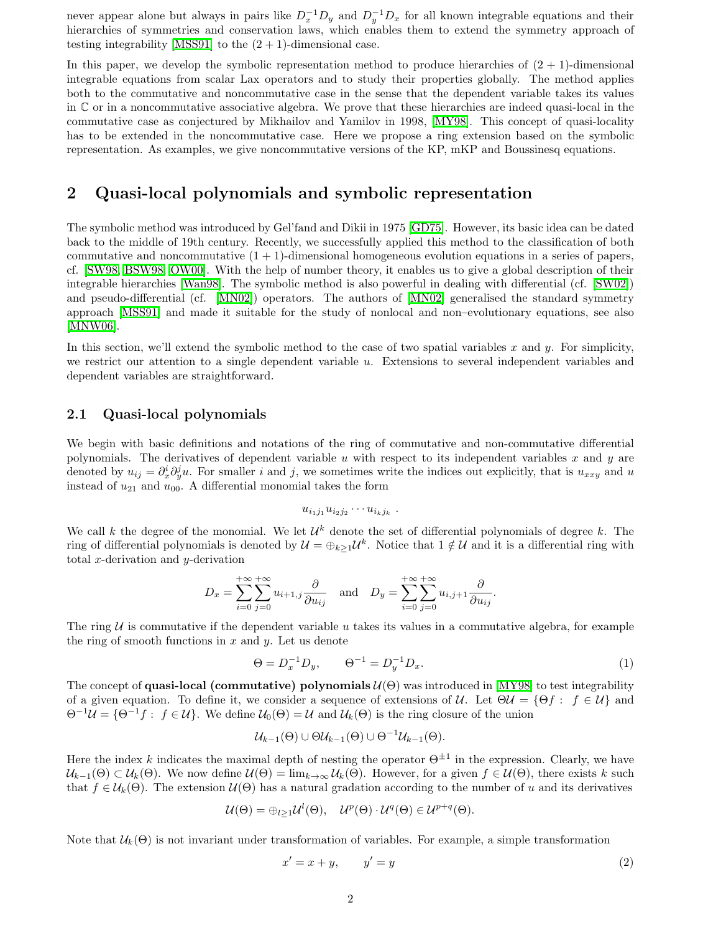never appear alone but always in pairs like  $D_x^{-1}D_y$  and  $D_y^{-1}D_x$  for all known integrable equations and their hierarchies of symmetries and conservation laws, which enables them to extend the symmetry approach of testing integrability [\[MSS91\]](#page-15-5) to the  $(2 + 1)$ -dimensional case.

In this paper, we develop the symbolic representation method to produce hierarchies of  $(2 + 1)$ -dimensional integrable equations from scalar Lax operators and to study their properties globally. The method applies both to the commutative and noncommutative case in the sense that the dependent variable takes its values in C or in a noncommutative associative algebra. We prove that these hierarchies are indeed quasi-local in the commutative case as conjectured by Mikhailov and Yamilov in 1998, [\[MY98\]](#page-15-0). This concept of quasi-locality has to be extended in the noncommutative case. Here we propose a ring extension based on the symbolic representation. As examples, we give noncommutative versions of the KP, mKP and Boussinesq equations.

# <span id="page-1-1"></span>2 Quasi-local polynomials and symbolic representation

The symbolic method was introduced by Gel'fand and Dikii in 1975 [\[GD75\]](#page-15-6). However, its basic idea can be dated back to the middle of 19th century. Recently, we successfully applied this method to the classification of both commutative and noncommutative  $(1 + 1)$ -dimensional homogeneous evolution equations in a series of papers, cf. [\[SW98,](#page-15-7) [BSW98,](#page-15-8) [OW00\]](#page-15-9). With the help of number theory, it enables us to give a global description of their integrable hierarchies [\[Wan98\]](#page-16-1). The symbolic method is also powerful in dealing with differential (cf. [\[SW02\]](#page-16-2)) and pseudo-differential (cf. [\[MN02\]](#page-15-10)) operators. The authors of [\[MN02\]](#page-15-10) generalised the standard symmetry approach [\[MSS91\]](#page-15-5) and made it suitable for the study of nonlocal and non–evolutionary equations, see also [\[MNW06\]](#page-15-11).

In this section, we'll extend the symbolic method to the case of two spatial variables x and y. For simplicity, we restrict our attention to a single dependent variable  $u$ . Extensions to several independent variables and dependent variables are straightforward.

### 2.1 Quasi-local polynomials

We begin with basic definitions and notations of the ring of commutative and non-commutative differential polynomials. The derivatives of dependent variable u with respect to its independent variables x and y are denoted by  $u_{ij} = \partial_x^i \partial_y^j u$ . For smaller i and j, we sometimes write the indices out explicitly, that is  $u_{xxy}$  and u instead of  $u_{21}$  and  $u_{00}$ . A differential monomial takes the form

$$
u_{i_1j_1}u_{i_2j_2}\cdots u_{i_kj_k}.
$$

We call k the degree of the monomial. We let  $\mathcal{U}^k$  denote the set of differential polynomials of degree k. The ring of differential polynomials is denoted by  $\mathcal{U} = \bigoplus_{k \geq 1} \mathcal{U}^k$ . Notice that  $1 \notin \mathcal{U}$  and it is a differential ring with total x-derivation and  $y$ -derivation

$$
D_x = \sum_{i=0}^{+\infty} \sum_{j=0}^{+\infty} u_{i+1,j} \frac{\partial}{\partial u_{ij}} \quad \text{and} \quad D_y = \sum_{i=0}^{+\infty} \sum_{j=0}^{+\infty} u_{i,j+1} \frac{\partial}{\partial u_{ij}}.
$$

The ring  $U$  is commutative if the dependent variable u takes its values in a commutative algebra, for example the ring of smooth functions in  $x$  and  $y$ . Let us denote

$$
\Theta = D_x^{-1} D_y, \qquad \Theta^{-1} = D_y^{-1} D_x. \tag{1}
$$

The concept of **quasi-local (commutative)** polynomials  $\mathcal{U}(\Theta)$  was introduced in [\[MY98\]](#page-15-0) to test integrability of a given equation. To define it, we consider a sequence of extensions of U. Let  $\Theta U = {\Theta f : f \in U}$  and  $\Theta^{-1}\mathcal{U} = {\Theta^{-1}f : f \in \mathcal{U}}$ . We define  $\mathcal{U}_0(\Theta) = \mathcal{U}$  and  $\mathcal{U}_k(\Theta)$  is the ring closure of the union

$$
\mathcal{U}_{k-1}(\Theta) \cup \Theta \mathcal{U}_{k-1}(\Theta) \cup \Theta^{-1} \mathcal{U}_{k-1}(\Theta).
$$

Here the index k indicates the maximal depth of nesting the operator  $\Theta^{\pm 1}$  in the expression. Clearly, we have  $U_{k-1}(\Theta) \subset U_k(\Theta)$ . We now define  $\mathcal{U}(\Theta) = \lim_{k \to \infty} \mathcal{U}_k(\Theta)$ . However, for a given  $f \in \mathcal{U}(\Theta)$ , there exists k such that  $f \in \mathcal{U}_k(\Theta)$ . The extension  $\mathcal{U}(\Theta)$  has a natural gradation according to the number of u and its derivatives

<span id="page-1-0"></span>
$$
\mathcal{U}(\Theta) = \bigoplus_{l \geq 1} \mathcal{U}^l(\Theta), \quad \mathcal{U}^p(\Theta) \cdot \mathcal{U}^q(\Theta) \in \mathcal{U}^{p+q}(\Theta).
$$

Note that  $\mathcal{U}_k(\Theta)$  is not invariant under transformation of variables. For example, a simple transformation

$$
x' = x + y, \qquad y' = y \tag{2}
$$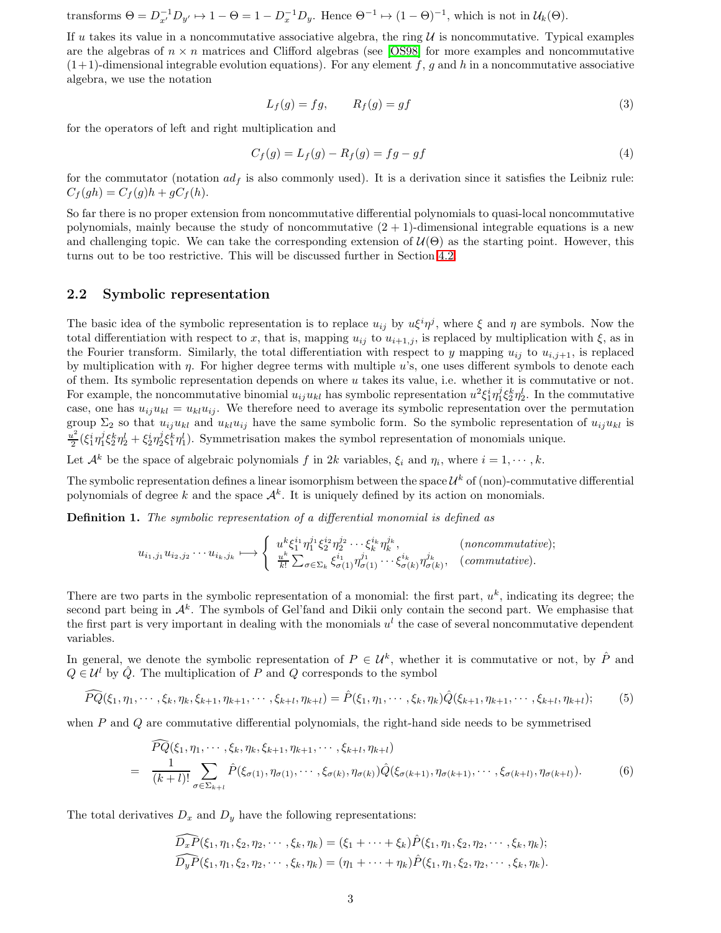transforms  $\Theta = D_{x'}^{-1} D_{y'} \mapsto 1 - \Theta = 1 - D_x^{-1} D_y$ . Hence  $\Theta^{-1} \mapsto (1 - \Theta)^{-1}$ , which is not in  $\mathcal{U}_k(\Theta)$ .

If u takes its value in a noncommutative associative algebra, the ring  $\mathcal U$  is noncommutative. Typical examples are the algebras of  $n \times n$  matrices and Clifford algebras (see [\[OS98\]](#page-15-12) for more examples and noncommutative  $(1+1)$ -dimensional integrable evolution equations). For any element f, g and h in a noncommutative associative algebra, we use the notation

$$
L_f(g) = fg, \qquad R_f(g) = gf \tag{3}
$$

for the operators of left and right multiplication and

<span id="page-2-2"></span>
$$
C_f(g) = L_f(g) - R_f(g) = fg - gf
$$
\n(4)

for the commutator (notation  $ad_f$  is also commonly used). It is a derivation since it satisfies the Leibniz rule:  $C_f(gh) = C_f(g)h + gC_f(h).$ 

So far there is no proper extension from noncommutative differential polynomials to quasi-local noncommutative polynomials, mainly because the study of noncommutative  $(2 + 1)$ -dimensional integrable equations is a new and challenging topic. We can take the corresponding extension of  $\mathcal{U}(\Theta)$  as the starting point. However, this turns out to be too restrictive. This will be discussed further in Section [4.2.](#page-10-0)

### 2.2 Symbolic representation

The basic idea of the symbolic representation is to replace  $u_{ij}$  by  $u\xi^i\eta^j$ , where  $\xi$  and  $\eta$  are symbols. Now the total differentiation with respect to x, that is, mapping  $u_{ij}$  to  $u_{i+1,j}$ , is replaced by multiplication with  $\xi$ , as in the Fourier transform. Similarly, the total differentiation with respect to y mapping  $u_{ij}$  to  $u_{i,j+1}$ , is replaced by multiplication with η. For higher degree terms with multiple u's, one uses different symbols to denote each of them. Its symbolic representation depends on where  $u$  takes its value, i.e. whether it is commutative or not. For example, the noncommutative binomial  $u_{ij}u_{kl}$  has symbolic representation  $u^2 \xi_1^i \eta_1^j \xi_2^k \eta_2^l$ . In the commutative case, one has  $u_{ij}u_{kl} = u_{kl}u_{ij}$ . We therefore need to average its symbolic representation over the permutation group  $\Sigma_2$  so that  $u_{ij}u_{kl}$  and  $u_{kl}u_{ij}$  have the same symbolic form. So the symbolic representation of  $u_{ij}u_{kl}$  is  $u^2$  $\frac{u^2}{2}(\xi_1^i\eta_1^j\xi_2^k\eta_2^l + \xi_2^i\eta_2^j\xi_1^k\eta_1^l)$ . Symmetrisation makes the symbol representation of monomials unique.

Let  $\mathcal{A}^k$  be the space of algebraic polynomials f in 2k variables,  $\xi_i$  and  $\eta_i$ , where  $i = 1, \dots, k$ .

The symbolic representation defines a linear isomorphism between the space  $\mathcal{U}^k$  of (non)-commutative differential polynomials of degree k and the space  $\mathcal{A}^k$ . It is uniquely defined by its action on monomials.

Definition 1. The symbolic representation of a differential monomial is defined as

$$
u_{i_1,j_1}u_{i_2,j_2}\cdots u_{i_k,j_k} \longmapsto \left\{ \begin{array}{ll} u^k\xi_1^{i_1}\eta_1^{j_1}\xi_2^{i_2}\eta_2^{j_2}\cdots\xi_k^{i_k}\eta_k^{j_k}, & \text{(noncommutative)}; \\ \frac{u^k}{k!}\sum_{\sigma\in\Sigma_k}\xi_{\sigma(1)}^{i_1}\eta_{\sigma(1)}^{j_1}\cdots\xi_{\sigma(k)}^{i_k}\eta_{\sigma(k)}^{j_k}, & \text{(commutative)}. \end{array} \right.
$$

There are two parts in the symbolic representation of a monomial: the first part,  $u^k$ , indicating its degree; the second part being in  $\mathcal{A}^k$ . The symbols of Gel'fand and Dikii only contain the second part. We emphasise that the first part is very important in dealing with the monomials  $u^l$  the case of several noncommutative dependent variables.

In general, we denote the symbolic representation of  $P \in \mathcal{U}^k$ , whether it is commutative or not, by  $\hat{P}$  and  $Q \in \mathcal{U}^l$  by  $\hat{Q}$ . The multiplication of P and Q corresponds to the symbol

$$
\widehat{PQ}(\xi_1, \eta_1, \cdots, \xi_k, \eta_k, \xi_{k+1}, \eta_{k+1}, \cdots, \xi_{k+l}, \eta_{k+l}) = \widehat{P}(\xi_1, \eta_1, \cdots, \xi_k, \eta_k) \widehat{Q}(\xi_{k+1}, \eta_{k+1}, \cdots, \xi_{k+l}, \eta_{k+l});
$$
(5)

<span id="page-2-1"></span><span id="page-2-0"></span>when  $P$  and  $Q$  are commutative differential polynomials, the right-hand side needs to be symmetrised

$$
\widehat{PQ}(\xi_1, \eta_1, \cdots, \xi_k, \eta_k, \xi_{k+1}, \eta_{k+1}, \cdots, \xi_{k+l}, \eta_{k+l})
$$
\n
$$
= \frac{1}{(k+l)!} \sum_{\sigma \in \Sigma_{k+l}} \widehat{P}(\xi_{\sigma(1)}, \eta_{\sigma(1)}, \cdots, \xi_{\sigma(k)}, \eta_{\sigma(k)}) \widehat{Q}(\xi_{\sigma(k+1)}, \eta_{\sigma(k+1)}, \cdots, \xi_{\sigma(k+l)}, \eta_{\sigma(k+l)}).
$$
\n(6)

The total derivatives  $D_x$  and  $D_y$  have the following representations:

$$
\widehat{D_x P}(\xi_1, \eta_1, \xi_2, \eta_2, \cdots, \xi_k, \eta_k) = (\xi_1 + \cdots + \xi_k) \hat{P}(\xi_1, \eta_1, \xi_2, \eta_2, \cdots, \xi_k, \eta_k);
$$
  

$$
\widehat{D_y P}(\xi_1, \eta_1, \xi_2, \eta_2, \cdots, \xi_k, \eta_k) = (\eta_1 + \cdots + \eta_k) \hat{P}(\xi_1, \eta_1, \xi_2, \eta_2, \cdots, \xi_k, \eta_k).
$$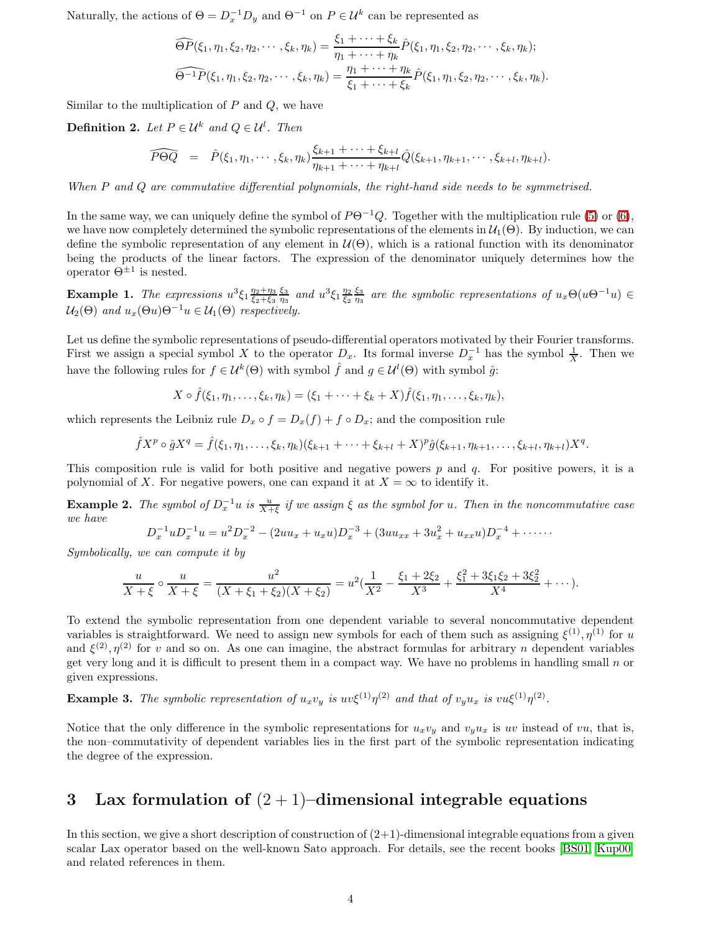Naturally, the actions of  $\Theta = D_x^{-1} D_y$  and  $\Theta^{-1}$  on  $P \in \mathcal{U}^k$  can be represented as

$$
\widehat{\Theta P}(\xi_1, \eta_1, \xi_2, \eta_2, \cdots, \xi_k, \eta_k) = \frac{\xi_1 + \cdots + \xi_k}{\eta_1 + \cdots + \eta_k} \widehat{P}(\xi_1, \eta_1, \xi_2, \eta_2, \cdots, \xi_k, \eta_k);
$$
  

$$
\widehat{\Theta^{-1} P}(\xi_1, \eta_1, \xi_2, \eta_2, \cdots, \xi_k, \eta_k) = \frac{\eta_1 + \cdots + \eta_k}{\xi_1 + \cdots + \xi_k} \widehat{P}(\xi_1, \eta_1, \xi_2, \eta_2, \cdots, \xi_k, \eta_k).
$$

Similar to the multiplication of  $P$  and  $Q$ , we have

**Definition 2.** Let  $P \in \mathcal{U}^k$  and  $Q \in \mathcal{U}^l$ . Then

$$
\widehat{P\Theta Q} = \hat{P}(\xi_1, \eta_1, \cdots, \xi_k, \eta_k) \frac{\xi_{k+1} + \cdots + \xi_{k+l}}{\eta_{k+1} + \cdots + \eta_{k+l}} \hat{Q}(\xi_{k+1}, \eta_{k+1}, \cdots, \xi_{k+l}, \eta_{k+l}).
$$

When P and Q are commutative differential polynomials, the right-hand side needs to be symmetrised.

In the same way, we can uniquely define the symbol of  $P\Theta^{-1}Q$ . Together with the multiplication rule [\(5\)](#page-2-0) or [\(6\)](#page-2-1), we have now completely determined the symbolic representations of the elements in  $\mathcal{U}_1(\Theta)$ . By induction, we can define the symbolic representation of any element in  $U(\Theta)$ , which is a rational function with its denominator being the products of the linear factors. The expression of the denominator uniquely determines how the operator  $\Theta^{\pm 1}$  is nested.

**Example 1.** The expressions  $u^3 \xi_1 \frac{\eta_2 + \eta_3}{\xi_2 + \xi_3} \frac{\xi_3}{\eta_3}$  and  $u^3 \xi_1 \frac{\eta_2}{\xi_2} \frac{\xi_3}{\eta_3}$  are the symbolic representations of  $u_x \Theta(u\Theta^{-1}u) \in$  $\mathcal{U}_2(\Theta)$  and  $u_x(\Theta u)\Theta^{-1}u \in \mathcal{U}_1(\Theta)$  respectively.

Let us define the symbolic representations of pseudo-differential operators motivated by their Fourier transforms. First we assign a special symbol X to the operator  $D_x$ . Its formal inverse  $D_x^{-1}$  has the symbol  $\frac{1}{X}$ . Then we have the following rules for  $f \in \mathcal{U}^k(\Theta)$  with symbol  $\hat{f}$  and  $g \in \mathcal{U}^l(\Theta)$  with symbol  $\hat{g}$ :

$$
X\circ \hat{f}(\xi_1,\eta_1,\ldots,\xi_k,\eta_k)=(\xi_1+\cdots+\xi_k+X)\hat{f}(\xi_1,\eta_1,\ldots,\xi_k,\eta_k),
$$

which represents the Leibniz rule  $D_x \circ f = D_x(f) + f \circ D_x$ ; and the composition rule

$$
\hat{f}X^{p} \circ \hat{g}X^{q} = \hat{f}(\xi_{1}, \eta_{1}, \ldots, \xi_{k}, \eta_{k})(\xi_{k+1} + \cdots + \xi_{k+l} + X)^{p}\hat{g}(\xi_{k+1}, \eta_{k+1}, \ldots, \xi_{k+l}, \eta_{k+l})X^{q}.
$$

This composition rule is valid for both positive and negative powers p and q. For positive powers, it is a polynomial of X. For negative powers, one can expand it at  $X = \infty$  to identify it.

**Example 2.** The symbol of  $D_x^{-1}u$  is  $\frac{u}{X+\xi}$  if we assign  $\xi$  as the symbol for u. Then in the noncommutative case we have

$$
D_x^{-1}uD_x^{-1}u = u^2D_x^{-2} - (2uu_x + u_xu)D_x^{-3} + (3uu_{xx} + 3u_x^2 + u_{xx}u)D_x^{-4} + \cdots
$$

Symbolically, we can compute it by

$$
\frac{u}{X+\xi} \circ \frac{u}{X+\xi} = \frac{u^2}{(X+\xi_1+\xi_2)(X+\xi_2)} = u^2(\frac{1}{X^2} - \frac{\xi_1+2\xi_2}{X^3} + \frac{\xi_1^2+3\xi_1\xi_2+3\xi_2^2}{X^4} + \cdots).
$$

To extend the symbolic representation from one dependent variable to several noncommutative dependent variables is straightforward. We need to assign new symbols for each of them such as assigning  $\xi^{(1)}, \eta^{(1)}$  for u and  $\xi^{(2)}$ ,  $\eta^{(2)}$  for v and so on. As one can imagine, the abstract formulas for arbitrary n dependent variables get very long and it is difficult to present them in a compact way. We have no problems in handling small  $n$  or given expressions.

**Example 3.** The symbolic representation of  $u_xv_y$  is  $uv\xi^{(1)}\eta^{(2)}$  and that of  $v_yu_x$  is  $vu\xi^{(1)}\eta^{(2)}$ .

Notice that the only difference in the symbolic representations for  $u_xv_y$  and  $v_yu_x$  is uv instead of vu, that is, the non–commutativity of dependent variables lies in the first part of the symbolic representation indicating the degree of the expression.

# <span id="page-3-0"></span>3 Lax formulation of  $(2 + 1)$ –dimensional integrable equations

In this section, we give a short description of construction of  $(2+1)$ -dimensional integrable equations from a given scalar Lax operator based on the well-known Sato approach. For details, see the recent books [\[BS01,](#page-15-13) [Kup00\]](#page-15-14) and related references in them.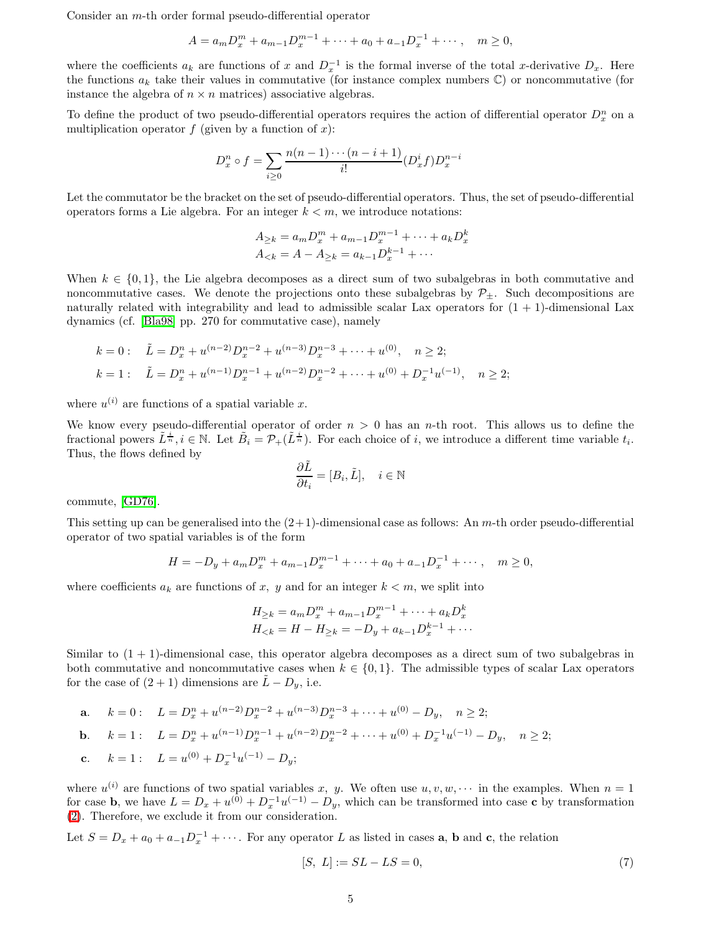Consider an m-th order formal pseudo-differential operator

$$
A = a_m D_x^m + a_{m-1} D_x^{m-1} + \dots + a_0 + a_{-1} D_x^{-1} + \dots, \quad m \ge 0,
$$

where the coefficients  $a_k$  are functions of x and  $D_x^{-1}$  is the formal inverse of the total x-derivative  $D_x$ . Here the functions  $a_k$  take their values in commutative (for instance complex numbers  $\mathbb{C}$ ) or noncommutative (for instance the algebra of  $n \times n$  matrices) associative algebras.

To define the product of two pseudo-differential operators requires the action of differential operator  $D_x^n$  on a multiplication operator  $f$  (given by a function of  $x$ ):

$$
D_x^n \circ f = \sum_{i \ge 0} \frac{n(n-1)\cdots(n-i+1)}{i!} (D_x^i f) D_x^{n-i}
$$

Let the commutator be the bracket on the set of pseudo-differential operators. Thus, the set of pseudo-differential operators forms a Lie algebra. For an integer  $k < m$ , we introduce notations:

$$
A_{\geq k} = a_m D_x^m + a_{m-1} D_x^{m-1} + \dots + a_k D_x^k
$$
  

$$
A_{< k} = A - A_{\geq k} = a_{k-1} D_x^{k-1} + \dots
$$

When  $k \in \{0,1\}$ , the Lie algebra decomposes as a direct sum of two subalgebras in both commutative and noncommutative cases. We denote the projections onto these subalgebras by  $\mathcal{P}_{\pm}$ . Such decompositions are naturally related with integrability and lead to admissible scalar Lax operators for  $(1 + 1)$ -dimensional Lax dynamics (cf. [\[Bla98\]](#page-15-15) pp. 270 for commutative case), namely

$$
k = 0: \quad \tilde{L} = D_x^n + u^{(n-2)} D_x^{n-2} + u^{(n-3)} D_x^{n-3} + \dots + u^{(0)}, \quad n \ge 2;
$$
\n
$$
k = 1: \quad \tilde{L} = D_x^n + u^{(n-1)} D_x^{n-1} + u^{(n-2)} D_x^{n-2} + \dots + u^{(0)} + D_x^{-1} u^{(-1)}, \quad n \ge 2;
$$

where  $u^{(i)}$  are functions of a spatial variable x.

We know every pseudo-differential operator of order  $n > 0$  has an *n*-th root. This allows us to define the fractional powers  $\tilde{L}^{\frac{i}{n}}$ ,  $i \in \mathbb{N}$ . Let  $\tilde{B}_i = \mathcal{P}_+(\tilde{L}^{\frac{i}{n}})$ . For each choice of i, we introduce a different time variable  $t_i$ . Thus, the flows defined by

$$
\frac{\partial \tilde{L}}{\partial t_i} = [B_i, \tilde{L}], \quad i \in \mathbb{N}
$$

commute, [\[GD76\]](#page-15-16).

This setting up can be generalised into the  $(2+1)$ -dimensional case as follows: An m-th order pseudo-differential operator of two spatial variables is of the form

$$
H = -D_y + a_m D_x^m + a_{m-1} D_x^{m-1} + \dots + a_0 + a_{-1} D_x^{-1} + \dots, \quad m \ge 0,
$$

where coefficients  $a_k$  are functions of x, y and for an integer  $k < m$ , we split into

$$
H_{\geq k} = a_m D_x^m + a_{m-1} D_x^{m-1} + \dots + a_k D_x^k
$$
  

$$
H_{< k} = H - H_{\geq k} = -D_y + a_{k-1} D_x^{k-1} + \dots
$$

Similar to  $(1 + 1)$ -dimensional case, this operator algebra decomposes as a direct sum of two subalgebras in both commutative and noncommutative cases when  $k \in \{0,1\}$ . The admissible types of scalar Lax operators for the case of  $(2 + 1)$  dimensions are  $L - D_y$ , i.e.

**a.** 
$$
k = 0
$$
:  $L = D_x^n + u^{(n-2)}D_x^{n-2} + u^{(n-3)}D_x^{n-3} + \cdots + u^{(0)} - D_y, \quad n \ge 2$ ;  
\n**b.**  $k = 1$ :  $L = D_x^n + u^{(n-1)}D_x^{n-1} + u^{(n-2)}D_x^{n-2} + \cdots + u^{(0)} + D_x^{-1}u^{(-1)} - D_y, \quad n \ge 2$ ;  
\n**c.**  $k = 1$ :  $L = u^{(0)} + D_x^{-1}u^{(-1)} - D_y$ ;

where  $u^{(i)}$  are functions of two spatial variables x, y. We often use  $u, v, w, \cdots$  in the examples. When  $n = 1$ for case **b**, we have  $L = D_x + u^{(0)} + D_x^{-1}u^{(-1)} - D_y$ , which can be transformed into case **c** by transformation [\(2\)](#page-1-0). Therefore, we exclude it from our consideration.

Let  $S = D_x + a_0 + a_{-1}D_x^{-1} + \cdots$ . For any operator L as listed in cases **a**, **b** and **c**, the relation

<span id="page-4-0"></span>
$$
[S, L] := SL - LS = 0,\t\t(7)
$$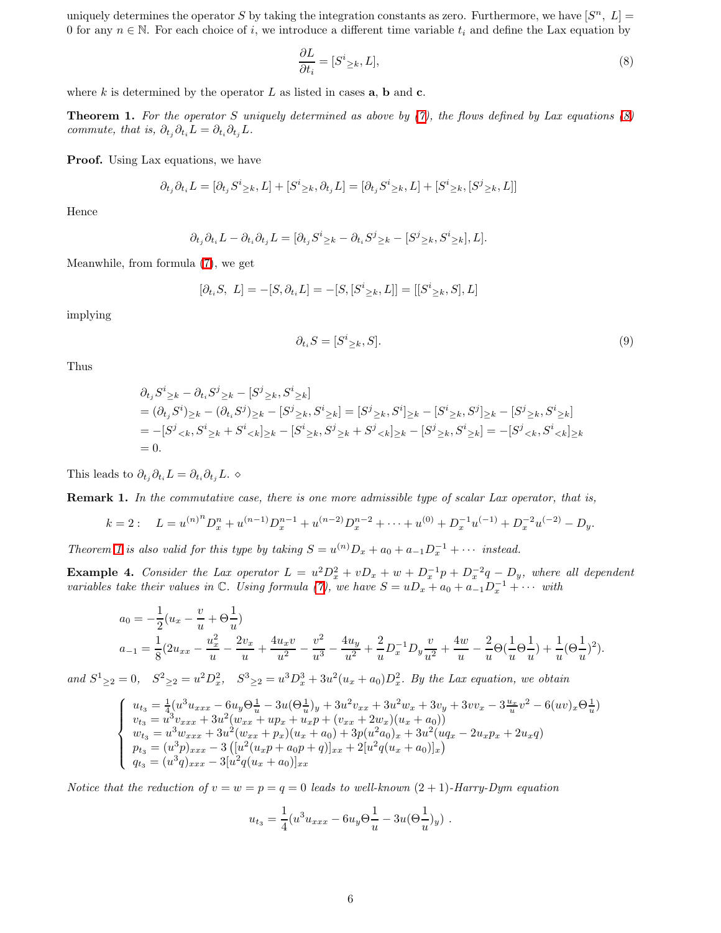uniquely determines the operator S by taking the integration constants as zero. Furthermore, we have  $[S^n, L] =$ 0 for any  $n \in \mathbb{N}$ . For each choice of i, we introduce a different time variable  $t_i$  and define the Lax equation by

<span id="page-5-0"></span>
$$
\frac{\partial L}{\partial t_i} = [S^i_{\geq k}, L],\tag{8}
$$

<span id="page-5-1"></span>where k is determined by the operator L as listed in cases  $a, b$  and  $c$ .

**Theorem 1.** For the operator S uniquely determined as above by  $(7)$ , the flows defined by Lax equations  $(8)$ commute, that is,  $\partial_{t_i} \partial_{t_i} L = \partial_{t_i} \partial_{t_i} L$ .

Proof. Using Lax equations, we have

$$
\partial_{t_j}\partial_{t_i}L = [\partial_{t_j}S^i_{\geq k}, L] + [S^i_{\geq k}, \partial_{t_j}L] = [\partial_{t_j}S^i_{\geq k}, L] + [S^i_{\geq k}, [S^j_{\geq k}, L]]
$$

Hence

$$
\partial_{t_j}\partial_{t_i}L - \partial_{t_i}\partial_{t_j}L = [\partial_{t_j}S^i_{\geq k} - \partial_{t_i}S^j_{\geq k} - [S^j_{\geq k}, S^i_{\geq k}], L].
$$

Meanwhile, from formula [\(7\)](#page-4-0), we get

$$
[\partial_{t_i} S, L] = -[S, \partial_{t_i} L] = -[S, [S^i_{\geq k}, L]] = [[S^i_{\geq k}, S], L]
$$

implying

$$
\partial_{t_i} S = [S^i{}_{\geq k}, S]. \tag{9}
$$

Thus

$$
\partial_{t_j} S^i_{\geq k} - \partial_{t_i} S^j_{\geq k} - [S^j_{\geq k}, S^i_{\geq k}] \n= (\partial_{t_j} S^i)_{\geq k} - (\partial_{t_i} S^j)_{\geq k} - [S^j_{\geq k}, S^i_{\geq k}] = [S^j_{\geq k}, S^i]_{\geq k} - [S^i_{\geq k}, S^j]_{\geq k} - [S^j_{\geq k}, S^i_{\geq k}] \n= -[S^j_{\leq k}, S^i_{\geq k} + S^i_{\leq k}]_{\geq k} - [S^i_{\geq k}, S^j_{\geq k} + S^j_{\leq k}]_{\geq k} - [S^j_{\geq k}, S^i_{\geq k}] = -[S^j_{\leq k}, S^i_{\leq k}]_{\geq k} \n= 0.
$$

<span id="page-5-2"></span>This leads to  $\partial_{t_i}\partial_{t_i}L = \partial_{t_i}\partial_{t_j}L$ . ◇

Remark 1. In the commutative case, there is one more admissible type of scalar Lax operator, that is,

$$
k = 2: \quad L = u^{(n)^n} D_x^n + u^{(n-1)} D_x^{n-1} + u^{(n-2)} D_x^{n-2} + \dots + u^{(0)} + D_x^{-1} u^{(-1)} + D_x^{-2} u^{(-2)} - D_y.
$$

Theorem [1](#page-5-1) is also valid for this type by taking  $S = u^{(n)}D_x + a_0 + a_{-1}D_x^{-1} + \cdots$  instead.

<span id="page-5-3"></span>**Example 4.** Consider the Lax operator  $L = u^2 D_x^2 + v D_x + w + D_x^{-1} p + D_x^{-2} q - D_y$ , where all dependent variables take their values in  $\mathbb C$ . Using formula [\(7\)](#page-4-0), we have  $S = uD_x + a_0 + a_{-1}D_x^{-1} + \cdots$  with

$$
a_0 = -\frac{1}{2}(u_x - \frac{v}{u} + \Theta \frac{1}{u})
$$
  
\n
$$
a_{-1} = \frac{1}{8}(2u_{xx} - \frac{u_x^2}{u} - \frac{2v_x}{u} + \frac{4u_xv}{u^2} - \frac{v^2}{u^3} - \frac{4u_y}{u^2} + \frac{2}{u}D_x^{-1}D_y\frac{v}{u^2} + \frac{4w}{u} - \frac{2}{u}\Theta(\frac{1}{u}\Theta \frac{1}{u}) + \frac{1}{u}(\Theta \frac{1}{u})^2).
$$

and  $S^1_{\geq 2} = 0$ ,  $S^2_{\geq 2} = u^2 D_x^2$ ,  $S^3_{\geq 2} = u^3 D_x^3 + 3u^2 (u_x + a_0) D_x^2$ . By the Lax equation, we obtain

$$
\left\{\begin{array}{l} u_{t_3}=\frac{1}{4}(u^3u_{xxx}-6u_y\Theta^{\frac{1}{u}}-3u(\Theta^{\frac{1}{u}}_uy)+3u^2v_{xx}+3u^2w_x+3v_y+3vv_x-3\frac{u_x}{u}v^2-6(uv)_x\Theta^{\frac{1}{u}}_u)\\ v_{t_3}=u^3v_{xxx}+3u^2(w_{xx}+up_x+u_xp+(v_{xx}+2w_x)(u_x+a_0))\\ w_{t_3}=u^3w_{xxx}+3u^2(w_{xx}+p_x)(u_x+a_0)+3p(u^2a_0)_x+3u^2(uq_x-2u_xp_x+2u_xq)\\ p_{t_3}=(u^3p)_{xxx}-3\left([u^2(u_xp+a_0p+q)]_{xx}+2[u^2q(u_x+a_0)]_x\right)\\ q_{t_3}=(u^3q)_{xxx}-3[u^2q(u_x+a_0)]_{xx}\end{array}\right.
$$

Notice that the reduction of  $v = w = p = q = 0$  leads to well-known  $(2 + 1)$ -Harry-Dym equation

$$
u_{t_3} = \frac{1}{4} (u^3 u_{xxx} - 6u_y \Theta \frac{1}{u} - 3u(\Theta \frac{1}{u})_y) .
$$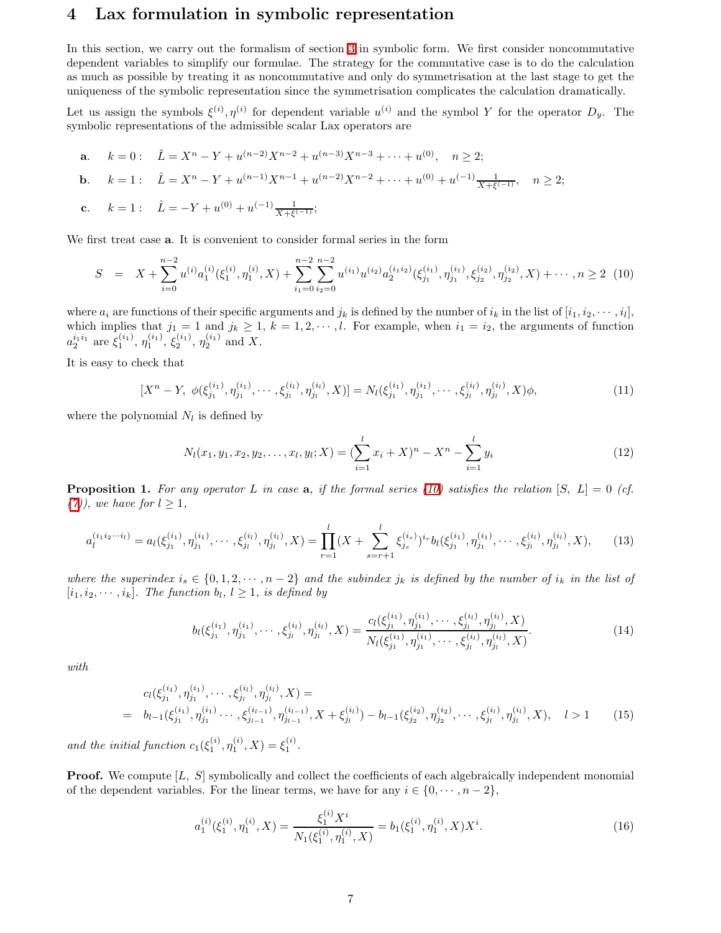## 4 Lax formulation in symbolic representation

In this section, we carry out the formalism of section [3](#page-3-0) in symbolic form. We first consider noncommutative dependent variables to simplify our formulae. The strategy for the commutative case is to do the calculation as much as possible by treating it as noncommutative and only do symmetrisation at the last stage to get the uniqueness of the symbolic representation since the symmetrisation complicates the calculation dramatically.

Let us assign the symbols  $\xi^{(i)}$ ,  $\eta^{(i)}$  for dependent variable  $u^{(i)}$  and the symbol Y for the operator  $D_y$ . The symbolic representations of the admissible scalar Lax operators are

**a.** 
$$
k = 0
$$
:  $\hat{L} = X^n - Y + u^{(n-2)}X^{n-2} + u^{(n-3)}X^{n-3} + \dots + u^{(0)}, \quad n \ge 2$ ;  
\n**b.**  $k = 1$ :  $\hat{L} = X^n - Y + u^{(n-1)}X^{n-1} + u^{(n-2)}X^{n-2} + \dots + u^{(0)} + u^{(-1)}\frac{1}{X + \xi^{(-1)}}, \quad n \ge 2$ ;

c. 
$$
k = 1
$$
:  $\hat{L} = -Y + u^{(0)} + u^{(-1)} \frac{1}{X + \xi^{(-1)}}$ ;

<span id="page-6-0"></span>We first treat case a. It is convenient to consider formal series in the form

$$
S = X + \sum_{i=0}^{n-2} u^{(i)} a_1^{(i)}(\xi_1^{(i)}, \eta_1^{(i)}, X) + \sum_{i_1=0}^{n-2} \sum_{i_2=0}^{n-2} u^{(i_1)} u^{(i_2)} a_2^{(i_1 i_2)}(\xi_{j_1}^{(i_1)}, \eta_{j_1}^{(i_1)}, \xi_{j_2}^{(i_2)}, \eta_{j_2}^{(i_2)}, X) + \cdots, n \ge 2 \tag{10}
$$

where  $a_i$  are functions of their specific arguments and  $j_k$  is defined by the number of  $i_k$  in the list of  $[i_1, i_2, \dots, i_l]$ , which implies that  $j_1 = 1$  and  $j_k \ge 1$ ,  $k = 1, 2, \dots, l$ . For example, when  $i_1 = i_2$ , the arguments of function  $a_2^{i_1i_1}$  are  $\xi_1^{(i_1)}$ ,  $\eta_1^{(i_1)}$ ,  $\xi_2^{(i_1)}$ ,  $\eta_2^{(i_1)}$  and X.

<span id="page-6-5"></span>It is easy to check that

$$
[X^{n}-Y, \ \phi(\xi_{j_1}^{(i_1)}, \eta_{j_1}^{(i_1)}, \cdots, \xi_{j_l}^{(i_l)}, \eta_{j_l}^{(i_l)}, X)] = N_l(\xi_{j_1}^{(i_1)}, \eta_{j_1}^{(i_1)}, \cdots, \xi_{j_l}^{(i_l)}, \eta_{j_l}^{(i_l)}, X)\phi,
$$
\n(11)

where the polynomial  $N_l$  is defined by

$$
N_l(x_1, y_1, x_2, y_2, \dots, x_l, y_l; X) = \left(\sum_{i=1}^l x_i + X\right)^n - X^n - \sum_{i=1}^l y_i
$$
\n(12)

<span id="page-6-3"></span>**Proposition 1.** For any operator L in case **a**, if the formal series [\(10\)](#page-6-0) satisfies the relation  $[S, L] = 0$  (cf. [\(7\)](#page-4-0), we have for  $l \geq 1$ ,

$$
a_l^{(i_1 i_2 \cdots i_l)} = a_l(\xi_{j_1}^{(i_1)}, \eta_{j_1}^{(i_1)}, \cdots, \xi_{j_l}^{(i_l)}, \eta_{j_l}^{(i_l)}, X) = \prod_{r=1}^l (X + \sum_{s=r+1}^l \xi_{j_s}^{(i_s)})^{i_r} b_l(\xi_{j_1}^{(i_1)}, \eta_{j_1}^{(i_1)}, \cdots, \xi_{j_l}^{(i_l)}, \eta_{j_l}^{(i_l)}, X), \qquad (13)
$$

<span id="page-6-1"></span>where the superindex  $i_s \in \{0, 1, 2, \dots, n-2\}$  and the subindex  $j_k$  is defined by the number of  $i_k$  in the list of  $[i_1, i_2, \dots, i_k]$ . The function  $b_l$ ,  $l \geq 1$ , is defined by

$$
b_l(\xi_{j_1}^{(i_1)}, \eta_{j_1}^{(i_1)}, \cdots, \xi_{j_l}^{(i_l)}, \eta_{j_l}^{(i_l)}, X) = \frac{c_l(\xi_{j_1}^{(i_1)}, \eta_{j_1}^{(i_1)}, \cdots, \xi_{j_l}^{(i_l)}, \eta_{j_l}^{(i_l)}, X)}{N_l(\xi_{j_1}^{(i_1)}, \eta_{j_1}^{(i_1)}, \cdots, \xi_{j_l}^{(i_l)}, \eta_{j_l}^{(i_l)}, X)}.
$$
(14)

<span id="page-6-4"></span><span id="page-6-2"></span>with

$$
c_l(\xi_{j_1}^{(i_1)}, \eta_{j_1}^{(i_1)}, \cdots, \xi_{j_l}^{(i_l)}, \eta_{j_l}^{(i_l)}, X) =
$$
  
=  $b_{l-1}(\xi_{j_1}^{(i_1)}, \eta_{j_1}^{(i_1)}\cdots, \xi_{j_{l-1}}^{(i_{l-1})}, \eta_{j_{l-1}}^{(i_{l-1})}, X + \xi_{j_l}^{(i_l)}) - b_{l-1}(\xi_{j_2}^{(i_2)}, \eta_{j_2}^{(i_2)}, \cdots, \xi_{j_l}^{(i_l)}, \eta_{j_l}^{(i_l)}, X), \quad l > 1$  (15)

and the initial function  $c_1(\xi_1^{(i)}, \eta_1^{(i)}, X) = \xi_1^{(i)}$ .

<span id="page-6-6"></span>**Proof.** We compute  $[L, S]$  symbolically and collect the coefficients of each algebraically independent monomial of the dependent variables. For the linear terms, we have for any  $i \in \{0, \dots, n-2\}$ ,

$$
a_1^{(i)}(\xi_1^{(i)}, \eta_1^{(i)}, X) = \frac{\xi_1^{(i)} X^i}{N_1(\xi_1^{(i)}, \eta_1^{(i)}, X)} = b_1(\xi_1^{(i)}, \eta_1^{(i)}, X) X^i.
$$
 (16)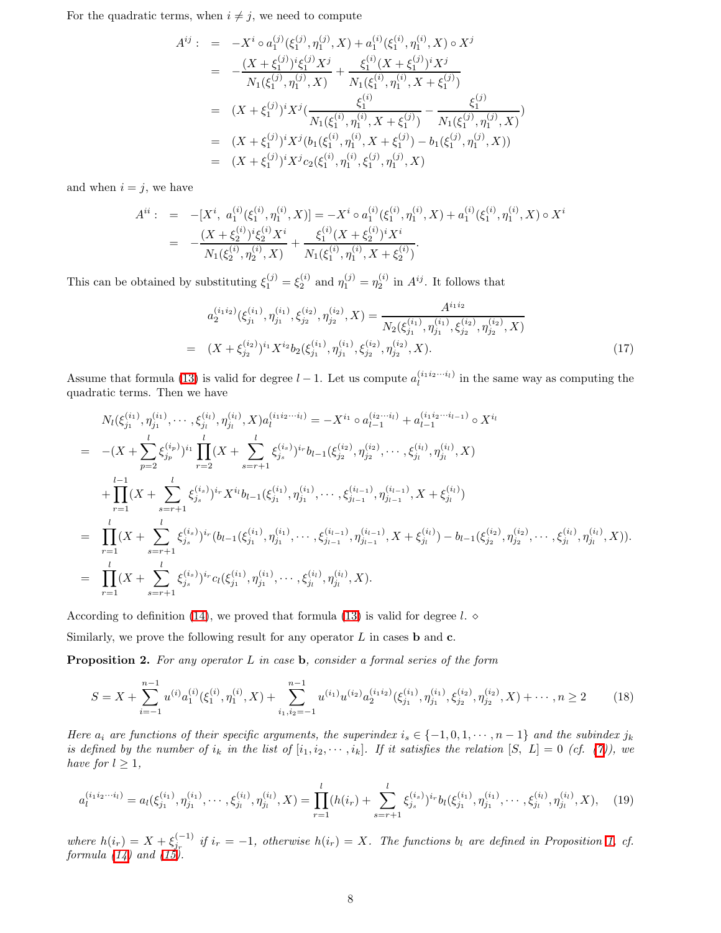For the quadratic terms, when  $i \neq j$ , we need to compute

$$
A^{ij}: = -X^i \circ a_1^{(j)}(\xi_1^{(j)}, \eta_1^{(j)}, X) + a_1^{(i)}(\xi_1^{(i)}, \eta_1^{(i)}, X) \circ X^j
$$
  
\n
$$
= -\frac{(X + \xi_1^{(j)})^i \xi_1^{(j)} X^j}{N_1(\xi_1^{(j)}, \eta_1^{(j)}, X)} + \frac{\xi_1^{(i)} (X + \xi_1^{(j)})^i X^j}{N_1(\xi_1^{(i)}, \eta_1^{(i)}, X + \xi_1^{(j)})}
$$
  
\n
$$
= (X + \xi_1^{(j)})^i X^j (\frac{\xi_1^{(i)}}{N_1(\xi_1^{(i)}, \eta_1^{(i)}, X + \xi_1^{(j)})} - \frac{\xi_1^{(j)}}{N_1(\xi_1^{(j)}, \eta_1^{(j)}, X)}
$$
  
\n
$$
= (X + \xi_1^{(j)})^i X^j (b_1(\xi_1^{(i)}, \eta_1^{(i)}, X + \xi_1^{(j)}) - b_1(\xi_1^{(j)}, \eta_1^{(j)}, X))
$$
  
\n
$$
= (X + \xi_1^{(j)})^i X^j c_2(\xi_1^{(i)}, \eta_1^{(i)}, \xi_1^{(j)}, \eta_1^{(j)}, X)
$$

and when  $i = j$ , we have

$$
A^{ii}: = -[X^i, a_1^{(i)}(\xi_1^{(i)}, \eta_1^{(i)}, X)] = -X^i \circ a_1^{(i)}(\xi_1^{(i)}, \eta_1^{(i)}, X) + a_1^{(i)}(\xi_1^{(i)}, \eta_1^{(i)}, X) \circ X^i
$$
  

$$
= -\frac{(X + \xi_2^{(i)})^i \xi_2^{(i)} X^i}{N_1(\xi_2^{(i)}, \eta_2^{(i)}, X)} + \frac{\xi_1^{(i)}(X + \xi_2^{(i)})^i X^i}{N_1(\xi_1^{(i)}, \eta_1^{(i)}, X + \xi_2^{(i)})}.
$$

This can be obtained by substituting  $\xi_1^{(j)} = \xi_2^{(i)}$  and  $\eta_1^{(j)} = \eta_2^{(i)}$  in  $A^{ij}$ . It follows that

$$
a_2^{(i_1 i_2)}(\xi_{j_1}^{(i_1)}, \eta_{j_1}^{(i_1)}, \xi_{j_2}^{(i_2)}, \eta_{j_2}^{(i_2)}, X) = \frac{A^{i_1 i_2}}{N_2(\xi_{j_1}^{(i_1)}, \eta_{j_1}^{(i_1)}, \xi_{j_2}^{(i_2)}, \eta_{j_2}^{(i_2)}, X)}
$$
  
= 
$$
(X + \xi_{j_2}^{(i_2)})^{i_1} X^{i_2} b_2(\xi_{j_1}^{(i_1)}, \eta_{j_1}^{(i_1)}, \xi_{j_2}^{(i_2)}, \eta_{j_2}^{(i_2)}, X).
$$
 (17)

Assume that formula [\(13\)](#page-6-1) is valid for degree  $l-1$ . Let us compute  $a_l^{(i_1 i_2 \cdots i_l)}$  in the same way as computing the quadratic terms. Then we have

$$
N_{l}(\xi_{j_{1}}^{(i_{1})}, \eta_{j_{1}}^{(i_{1})}, \cdots, \xi_{j_{l}}^{(i_{l})}, \eta_{j_{l}}^{(i_{l})}, X) a_{l}^{(i_{1}i_{2}\cdots i_{l})} = -X^{i_{1}} \circ a_{l-1}^{(i_{2}\cdots i_{l})} + a_{l-1}^{(i_{1}i_{2}\cdots i_{l-1})} \circ X^{i_{l}}
$$
\n
$$
= -(X + \sum_{p=2}^{l} \xi_{j_{p}}^{(i_{p})})^{i_{1}} \prod_{r=2}^{l} (X + \sum_{s=r+1}^{l} \xi_{j_{s}}^{(i_{s})})^{i_{r}} b_{l-1}(\xi_{j_{2}}^{(i_{2})}, \eta_{j_{2}}^{(i_{2})}, \cdots, \xi_{j_{l}}^{(i_{l})}, \eta_{j_{l}}^{(i_{l})}, X)
$$
\n
$$
+ \prod_{r=1}^{l-1} (X + \sum_{s=r+1}^{l} \xi_{j_{s}}^{(i_{s})})^{i_{r}} X^{i_{l}} b_{l-1}(\xi_{j_{1}}^{(i_{1})}, \eta_{j_{1}}^{(i_{1})}, \cdots, \xi_{j_{l-1}}^{(i_{l-1})}, \eta_{j_{l-1}}^{(i_{l-1})}, X + \xi_{j_{l}}^{(i_{l})})
$$
\n
$$
= \prod_{r=1}^{l} (X + \sum_{s=r+1}^{l} \xi_{j_{s}}^{(i_{s})})^{i_{r}} (b_{l-1}(\xi_{j_{1}}^{(i_{1})}, \eta_{j_{1}}^{(i_{1})}, \cdots, \xi_{j_{l-1}}^{(i_{l-1})}, \eta_{j_{l-1}}^{(i_{l-1})}, X + \xi_{j_{l}}^{(i_{l})}) - b_{l-1}(\xi_{j_{2}}^{(i_{2})}, \eta_{j_{2}}^{(i_{2})}, \cdots, \xi_{j_{l}}^{(i_{l})}, \eta_{j_{l}}^{(i_{l})}, X)).
$$
\n
$$
= \prod_{r=1}^{l} (X + \sum_{s=r+1}^{l} \xi_{j_{s}}^{(i_{s})})^{i_{r}} c_{l}(\xi_{j_{1}}^{(i_{1})}, \eta_{j_{1}}^{(i_{1})}, \cdots, \
$$

According to definition [\(14\)](#page-6-2), we proved that formula [\(13\)](#page-6-1) is valid for degree l.  $\diamond$ 

<span id="page-7-0"></span>Similarly, we prove the following result for any operator  $L$  in cases **b** and **c**.

<span id="page-7-2"></span>**Proposition 2.** For any operator  $L$  in case  $\mathbf{b}$ , consider a formal series of the form

$$
S = X + \sum_{i=-1}^{n-1} u^{(i)} a_1^{(i)}(\xi_1^{(i)}, \eta_1^{(i)}, X) + \sum_{i_1, i_2=-1}^{n-1} u^{(i_1)} u^{(i_2)} a_2^{(i_1 i_2)}(\xi_{j_1}^{(i_1)}, \eta_{j_1}^{(i_1)}, \xi_{j_2}^{(i_2)}, \eta_{j_2}^{(i_2)}, X) + \cdots, n \ge 2
$$
 (18)

Here  $a_i$  are functions of their specific arguments, the superindex  $i_s \in \{-1, 0, 1, \dots, n-1\}$  and the subindex  $j_k$ is defined by the number of  $i_k$  in the list of  $[i_1, i_2, \cdots, i_k]$ . If it satisfies the relation  $[S, L] = 0$  (cf. [\(7\)](#page-4-0)), we have for  $l \geq 1$ ,

<span id="page-7-1"></span>
$$
a_l^{(i_1 i_2 \cdots i_l)} = a_l(\xi_{j_1}^{(i_1)}, \eta_{j_1}^{(i_1)}, \cdots, \xi_{j_l}^{(i_l)}, \eta_{j_l}^{(i_l)}, X) = \prod_{r=1}^l (h(i_r) + \sum_{s=r+1}^l \xi_{j_s}^{(i_s)})^{i_r} b_l(\xi_{j_1}^{(i_1)}, \eta_{j_1}^{(i_1)}, \cdots, \xi_{j_l}^{(i_l)}, \eta_{j_l}^{(i_l)}, X), \quad (19)
$$

where  $h(i_r) = X + \xi_{j_r}^{(-1)}$  if  $i_r = -1$ , otherwise  $h(i_r) = X$ . The functions  $b_l$  are defined in Proposition [1,](#page-6-3) cf. formula [\(14\)](#page-6-2) and [\(15\)](#page-6-4).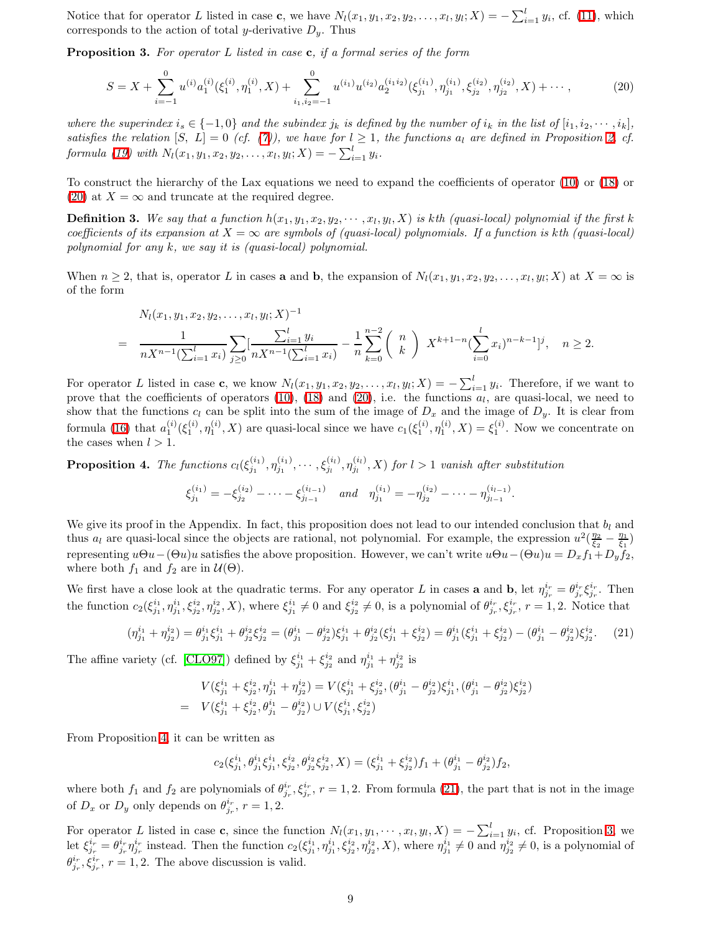<span id="page-8-3"></span>Notice that for operator L listed in case **c**, we have  $N_l(x_1, y_1, x_2, y_2, \ldots, x_l, y_l; X) = -\sum_{i=1}^l y_i$ , cf. [\(11\)](#page-6-5), which corresponds to the action of total y-derivative  $D_y$ . Thus

<span id="page-8-0"></span>**Proposition 3.** For operator L listed in case  $c$ , if a formal series of the form

$$
S = X + \sum_{i=-1}^{0} u^{(i)} a_1^{(i)}(\xi_1^{(i)}, \eta_1^{(i)}, X) + \sum_{i_1, i_2=-1}^{0} u^{(i_1)} u^{(i_2)} a_2^{(i_1 i_2)}(\xi_{j_1}^{(i_1)}, \eta_{j_1}^{(i_1)}, \xi_{j_2}^{(i_2)}, \eta_{j_2}^{(i_2)}, X) + \cdots,
$$
(20)

where the superindex  $i_s \in \{-1,0\}$  and the subindex  $j_k$  is defined by the number of  $i_k$  in the list of  $[i_1, i_2, \cdots, i_k]$ , satisfies the relation  $[S, L] = 0$  (cf. [\(7\)](#page-4-0)), we have for  $l \geq 1$ , the functions  $a_l$  are defined in Proposition [2,](#page-7-0) cf. formula [\(19\)](#page-7-1) with  $N_l(x_1, y_1, x_2, y_2, \ldots, x_l, y_l; X) = -\sum_{i=1}^l y_i$ .

To construct the hierarchy of the Lax equations we need to expand the coefficients of operator [\(10\)](#page-6-0) or [\(18\)](#page-7-2) or [\(20\)](#page-8-0) at  $X = \infty$  and truncate at the required degree.

**Definition 3.** We say that a function  $h(x_1, y_1, x_2, y_2, \dots, x_l, y_l, X)$  is kth (quasi-local) polynomial if the first k coefficients of its expansion at  $X = \infty$  are symbols of (quasi-local) polynomials. If a function is kth (quasi-local) polynomial for any k, we say it is (quasi-local) polynomial.

When  $n \geq 2$ , that is, operator L in cases **a** and **b**, the expansion of  $N_l(x_1, y_1, x_2, y_2, \ldots, x_l, y_l; X)$  at  $X = \infty$  is of the form

$$
N_l(x_1, y_1, x_2, y_2, \dots, x_l, y_l; X)^{-1}
$$
\n
$$
= \frac{1}{nX^{n-1}(\sum_{i=1}^l x_i)} \sum_{j\geq 0} \left[\frac{\sum_{i=1}^l y_i}{nX^{n-1}(\sum_{i=1}^l x_i)} - \frac{1}{n} \sum_{k=0}^{n-2} {n \choose k} X^{k+1-n} (\sum_{i=0}^l x_i)^{n-k-1} \right]^j, \quad n \geq 2.
$$

For operator L listed in case c, we know  $N_l(x_1, y_1, x_2, y_2, \ldots, x_l, y_l; X) = -\sum_{i=1}^l y_i$ . Therefore, if we want to prove that the coefficients of operators [\(10\)](#page-6-0), [\(18\)](#page-7-2) and [\(20\)](#page-8-0), i.e. the functions  $a_l$ , are quasi-local, we need to show that the functions  $c_l$  can be split into the sum of the image of  $D_x$  and the image of  $D_y$ . It is clear from formula [\(16\)](#page-6-6) that  $a_1^{(i)}(\xi_1^{(i)}, \eta_1^{(i)}, X)$  are quasi-local since we have  $c_1(\xi_1^{(i)}, \eta_1^{(i)}, X) = \xi_1^{(i)}$ . Now we concentrate on the cases when  $l > 1$ .

<span id="page-8-1"></span>**Proposition 4.** The functions  $c_l(\xi_{j_1}^{(i_1)}, \eta_{j_1}^{(i_1)}, \cdots, \xi_{j_l}^{(i_l)}, \eta_{j_l}^{(i_l)}, X)$  for  $l > 1$  vanish after substitution

$$
\xi_{j_1}^{(i_1)} = -\xi_{j_2}^{(i_2)} - \cdots - \xi_{j_{l-1}}^{(i_{l-1})} \quad and \quad \eta_{j_1}^{(i_1)} = -\eta_{j_2}^{(i_2)} - \cdots - \eta_{j_{l-1}}^{(i_{l-1})}.
$$

We give its proof in the Appendix. In fact, this proposition does not lead to our intended conclusion that  $b_l$  and thus  $a_l$  are quasi-local since the objects are rational, not polynomial. For example, the expression  $u^2(\frac{\eta_2}{\xi_2} - \frac{\eta_1}{\xi_1})$ representing  $u\Theta u-(\Theta u)u$  satisfies the above proposition. However, we can't write  $u\Theta u-(\Theta u)u = D_x f_1+D_y f_2$ , where both  $f_1$  and  $f_2$  are in  $\mathcal{U}(\Theta)$ .

We first have a close look at the quadratic terms. For any operator L in cases **a** and **b**, let  $\eta_{j_r}^{i_r} = \theta_{j_r}^{i_r} \xi_{j_r}^{i_r}$ . Then the function  $c_2(\xi_{j_1}^{i_1}, \eta_{j_1}^{i_2}, \xi_{j_2}^{i_2}, \eta_{j_2}^{i_2}, X)$ , where  $\xi_{j_1}^{i_1} \neq 0$  and  $\xi_{j_2}^{i_2} \neq 0$ , is a polynomial of  $\theta_{j_r}^{i_r}, \xi_{j_r}^{i_r}$ ,  $r = 1, 2$ . Notice that

$$
(\eta_{j1}^{i_1} + \eta_{j2}^{i_2}) = \theta_{j_1}^{i_1} \xi_{j_1}^{i_1} + \theta_{j_2}^{i_2} \xi_{j_2}^{i_2} = (\theta_{j_1}^{i_1} - \theta_{j_2}^{i_2}) \xi_{j_1}^{i_1} + \theta_{j_2}^{i_2} (\xi_{j_1}^{i_1} + \xi_{j_2}^{i_2}) = \theta_{j_1}^{i_1} (\xi_{j_1}^{i_1} + \xi_{j_2}^{i_2}) - (\theta_{j_1}^{i_1} - \theta_{j_2}^{i_2}) \xi_{j_2}^{i_2}.
$$
 (21)

<span id="page-8-2"></span>The affine variety (cf. [\[CLO97\]](#page-15-17)) defined by  $\xi_{j_1}^{i_1} + \xi_{j_2}^{i_2}$  and  $\eta_{j_1}^{i_1} + \eta_{j_2}^{i_2}$  is

$$
V(\xi_{j_1}^{i_1} + \xi_{j_2}^{i_2}, \eta_{j_1}^{i_1} + \eta_{j_2}^{i_2}) = V(\xi_{j_1}^{i_1} + \xi_{j_2}^{i_2}, (\theta_{j_1}^{i_1} - \theta_{j_2}^{i_2})\xi_{j_1}^{i_1}, (\theta_{j_1}^{i_1} - \theta_{j_2}^{i_2})\xi_{j_2}^{i_2})
$$
  
= 
$$
V(\xi_{j_1}^{i_1} + \xi_{j_2}^{i_2}, \theta_{j_1}^{i_1} - \theta_{j_2}^{i_2}) \cup V(\xi_{j_1}^{i_1}, \xi_{j_2}^{i_2})
$$

From Proposition [4,](#page-8-1) it can be written as

$$
c_2(\xi_{j_1}^{i_1}, \theta_{j_1}^{i_1}\xi_{j_1}^{i_1}, \xi_{j_2}^{i_2}, \theta_{j_2}^{i_2}\xi_{j_2}^{i_2}, X) = (\xi_{j_1}^{i_1} + \xi_{j_2}^{i_2})f_1 + (\theta_{j_1}^{i_1} - \theta_{j_2}^{i_2})f_2,
$$

where both  $f_1$  and  $f_2$  are polynomials of  $\theta_{j_r}^{i_r}, \xi_{j_r}^{i_r}, r = 1, 2$ . From formula [\(21\)](#page-8-2), the part that is not in the image of  $D_x$  or  $D_y$  only depends on  $\theta_{j_r}^{i_r}$ ,  $r = 1, 2$ .

For operator L listed in case c, since the function  $N_l(x_1, y_1, \dots, x_l, y_l, X) = -\sum_{i=1}^l y_i$ , cf. Proposition [3,](#page-8-3) we let  $\xi_{j_r}^{i_r} = \theta_{j_r}^{i_r} \eta_{j_r}^{i_r}$  instead. Then the function  $c_2(\xi_{j_1}^{i_1}, \eta_{j_1}^{i_1}, \xi_{j_2}^{i_2}, \eta_{j_2}^{i_2}, X)$ , where  $\eta_{j_1}^{i_1} \neq 0$  and  $\eta_{j_2}^{i_2} \neq 0$ , is a polynomial of  $\theta_{j_r}^{i_r}, \xi_{j_r}^{i_r}, r = 1, 2$ . The above discussion is valid.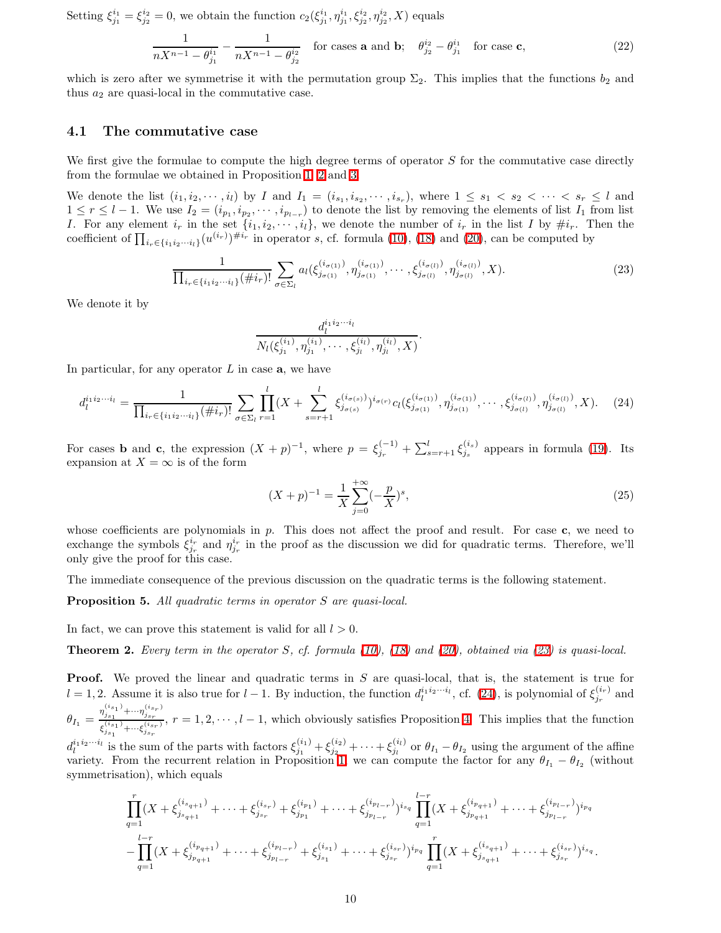Setting  $\xi_{j_1}^{i_1} = \xi_{j_2}^{i_2} = 0$ , we obtain the function  $c_2(\xi_{j_1}^{i_1}, \eta_{j_1}^{i_1}, \xi_{j_2}^{i_2}, \eta_{j_2}^{i_2}, X)$  equals

$$
\frac{1}{nX^{n-1} - \theta_{j_1}^{i_1}} - \frac{1}{nX^{n-1} - \theta_{j_2}^{i_2}} \quad \text{for cases } \mathbf{a} \text{ and } \mathbf{b}; \quad \theta_{j_2}^{i_2} - \theta_{j_1}^{i_1} \quad \text{for case } \mathbf{c},
$$
 (22)

which is zero after we symmetrise it with the permutation group  $\Sigma_2$ . This implies that the functions  $b_2$  and thus  $a_2$  are quasi-local in the commutative case.

### 4.1 The commutative case

We first give the formulae to compute the high degree terms of operator  $S$  for the commutative case directly from the formulae we obtained in Proposition [1,](#page-6-3) [2](#page-7-0) and [3.](#page-8-3)

We denote the list  $(i_1, i_2, \dots, i_l)$  by I and  $I_1 = (i_{s_1}, i_{s_2}, \dots, i_{s_r})$ , where  $1 \leq s_1 < s_2 < \dots < s_r \leq l$  and  $1 \leq r \leq l-1$ . We use  $I_2 = (i_{p_1}, i_{p_2}, \cdots, i_{p_{l-r}})$  to denote the list by removing the elements of list  $I_1$  from list I. For any element  $i_r$  in the set  $\{i_1, i_2, \dots, i_l\}$ , we denote the number of  $i_r$  in the list I by  $\#i_r$ . Then the coefficient of  $\prod_{i_r \in \{i_1 i_2 \cdots i_l\}} (u^{(i_r)})^{\#i_r}$  in operator s, cf. formula [\(10\)](#page-6-0), [\(18\)](#page-7-2) and [\(20\)](#page-8-0), can be computed by

$$
\frac{1}{\prod_{i_r \in \{i_1 i_2 \cdots i_l\}} (\# i_r)!} \sum_{\sigma \in \Sigma_l} a_l(\xi_{j_{\sigma(1)}}^{(i_{\sigma(1)})}, \eta_{j_{\sigma(1)}}^{(i_{\sigma(1)})}, \cdots, \xi_{j_{\sigma(l)}}^{(i_{\sigma(l)})}, \eta_{j_{\sigma(l)}}^{(i_{\sigma(l)})}, X). \tag{23}
$$

<span id="page-9-0"></span>We denote it by

$$
\frac{d_l^{i_1i_2\cdots i_l}}{N_l(\xi_{j_1}^{(i_1)},\eta_{j_1}^{(i_1)},\cdots,\xi_{j_l}^{(i_l)},\eta_{j_l}^{(i_l)},X)}.
$$

<span id="page-9-1"></span>In particular, for any operator  $L$  in case  $a$ , we have

$$
d_l^{i_1 i_2 \cdots i_l} = \frac{1}{\prod_{i_r \in \{i_1 i_2 \cdots i_l\}} (\# i_r)!} \sum_{\sigma \in \Sigma_l} \prod_{r=1}^l (X + \sum_{s=r+1}^l \xi_{j_{\sigma(s)}}^{(i_{\sigma(s)})} )^{i_{\sigma(r)}} c_l(\xi_{j_{\sigma(1)}}^{(i_{\sigma(1)})}, \eta_{j_{\sigma(1)}}^{(i_{\sigma(1)})}, \cdots, \xi_{j_{\sigma(l)}}^{(i_{\sigma(l)})}, \eta_{j_{\sigma(l)}}^{(i_{\sigma(l)})}, X). \tag{24}
$$

For cases **b** and **c**, the expression  $(X + p)^{-1}$ , where  $p = \xi_{j_r}^{(-1)} + \sum_{s=r+1}^{l} \xi_{j_s}^{(i_s)}$  appears in formula [\(19\)](#page-7-1). Its expansion at  $X = \infty$  is of the form

$$
(X+p)^{-1} = \frac{1}{X} \sum_{j=0}^{+\infty} (-\frac{p}{X})^s,
$$
\n(25)

whose coefficients are polynomials in  $p$ . This does not affect the proof and result. For case  $c$ , we need to exchange the symbols  $\xi_{j_r}^{i_r}$  and  $\eta_{j_r}^{i_r}$  in the proof as the discussion we did for quadratic terms. Therefore, we'll only give the proof for this case.

The immediate consequence of the previous discussion on the quadratic terms is the following statement.

Proposition 5. All quadratic terms in operator S are quasi-local.

In fact, we can prove this statement is valid for all  $l > 0$ .

**Theorem 2.** Every term in the operator S, cf. formula [\(10\)](#page-6-0), [\(18\)](#page-7-2) and [\(20\)](#page-8-0), obtained via [\(23\)](#page-9-0) is quasi-local.

**Proof.** We proved the linear and quadratic terms in S are quasi-local, that is, the statement is true for  $l = 1, 2$ . Assume it is also true for  $l - 1$ . By induction, the function  $d_l^{i_1 i_2 \cdots i_l}$ , cf. [\(24\)](#page-9-1), is polynomial of  $\xi_{j_r}^{(i_r)}$  and  $\theta_{I_1} = \frac{\eta_{j_{s_1}}^{(i_{s_1})} + \cdots + \eta_{j_{s_r}}^{(i_{s_r})}}{\zeta^{(i_{s_1})} + \zeta^{(i_{s_r})}}$  $\xi_{\substack{s_{i_1},\ldots,s_{i_r},\s_{j_{s_r}}}}^{j_{s_1}\ldots j_{s_r}}$ ,  $r=1,2,\ldots,l-1$ , which obviously satisfies Proposition [4.](#page-8-1) This implies that the function  $d_l^{i_1 i_2 \cdots i_l}$  is the sum of the parts with factors  $\xi_{j_1}^{(i_1)} + \xi_{j_2}^{(i_2)} + \cdots + \xi_{j_l}^{(i_l)}$  or  $\theta_{I_1} - \theta_{I_2}$  using the argument of the affine variety. From the recurrent relation in Proposition [1,](#page-6-3) we can compute the factor for any  $\theta_{I_1} - \theta_{I_2}$  (without symmetrisation), which equals

$$
\prod_{q=1}^r (X + \xi_{j_{s_{q+1}}}^{(i_{s_{q+1}})} + \cdots + \xi_{j_{s_r}}^{(i_{s_r})} + \xi_{j_{p_1}}^{(i_{p_1})} + \cdots + \xi_{j_{p_{l-r}}}^{(i_{p_{l-r}})} )^{i_{s_q}} \prod_{q=1}^{l-r} (X + \xi_{j_{p_{q+1}}}^{(i_{p_{q+1}})} + \cdots + \xi_{j_{p_{l-r}}}^{(i_{p_{l-r}})} )^{i_{p_q}}
$$
  

$$
- \prod_{q=1}^{l-r} (X + \xi_{j_{p_{q+1}}}^{(i_{p_{q+1}})} + \cdots + \xi_{j_{p_{l-r}}}^{(i_{p_{l-r}})} + \xi_{j_{s_1}}^{(i_{s_1})} + \cdots + \xi_{j_{s_r}}^{(i_{s_r})})^{i_{p_q}} \prod_{q=1}^r (X + \xi_{j_{s_{q+1}}}^{(i_{s_{q+1}})} + \cdots + \xi_{j_{s_r}}^{(i_{s_r})})^{i_{s_q}}.
$$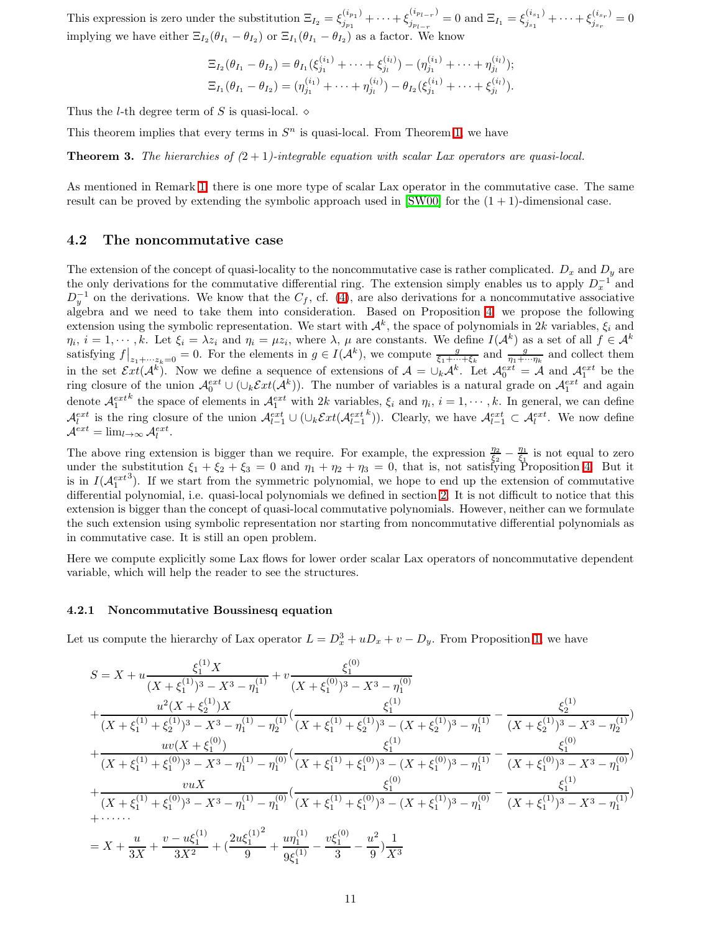This expression is zero under the substitution  $\Xi_{I_2} = \xi_{j_{n_1}}^{(i_{p_1})}$  $\binom{(i_{p_1})}{j_{p_1}} + \cdots + \xi_{j_{p_{l-r}}}^{(i_{p_{l-r}})}$  $j_{p_{l-r}}^{(i_{p_{l-r}})}=0$  and  $\Xi_{I_1}=\xi_{j_{s_1}}^{(i_{s_1})}$  $j_{s_1}^{(i_{s_1})} + \cdots + \xi_{j_{s_r}}^{(i_{s_r})}$  $j_{s_r}^{(i_{s_r})} = 0$ implying we have either  $\Xi_{I_2}(\theta_{I_1}-\theta_{I_2})$  or  $\Xi_{I_1}(\theta_{I_1}-\theta_{I_2})$  as a factor. We know

$$
\Xi_{I_2}(\theta_{I_1} - \theta_{I_2}) = \theta_{I_1}(\xi_{j_1}^{(i_1)} + \cdots + \xi_{j_l}^{(i_l)}) - (\eta_{j_1}^{(i_1)} + \cdots + \eta_{j_l}^{(i_l)});
$$
  
\n
$$
\Xi_{I_1}(\theta_{I_1} - \theta_{I_2}) = (\eta_{j_1}^{(i_1)} + \cdots + \eta_{j_l}^{(i_l)}) - \theta_{I_2}(\xi_{j_1}^{(i_1)} + \cdots + \xi_{j_l}^{(i_l)}).
$$

Thus the *l*-th degree term of S is quasi-local.  $\diamond$ 

This theorem implies that every terms in  $S<sup>n</sup>$  is quasi-local. From Theorem [1,](#page-5-1) we have

**Theorem 3.** The hierarchies of  $(2 + 1)$ -integrable equation with scalar Lax operators are quasi-local.

As mentioned in Remark [1,](#page-5-2) there is one more type of scalar Lax operator in the commutative case. The same result can be proved by extending the symbolic approach used in  $[SW00]$  for the  $(1 + 1)$ -dimensional case.

### <span id="page-10-0"></span>4.2 The noncommutative case

The extension of the concept of quasi-locality to the noncommutative case is rather complicated.  $D_x$  and  $D_y$  are the only derivations for the commutative differential ring. The extension simply enables us to apply  $D_x^{-1}$  and  $D_y^{-1}$  on the derivations. We know that the  $C_f$ , cf. [\(4\)](#page-2-2), are also derivations for a noncommutative associative algebra and we need to take them into consideration. Based on Proposition [4,](#page-8-1) we propose the following extension using the symbolic representation. We start with  $\mathcal{A}^k$ , the space of polynomials in 2k variables,  $\xi_i$  and  $\eta_i, i = 1, \dots, k$ . Let  $\xi_i = \lambda z_i$  and  $\eta_i = \mu z_i$ , where  $\lambda, \mu$  are constants. We define  $I(\mathcal{A}^k)$  as a set of all  $f \in \mathcal{A}^k$ satisfying  $f|_{z_1+\cdots z_k=0}=0$ . For the elements in  $g\in I(\mathcal{A}^k)$ , we compute  $\frac{g}{\xi_1+\cdots+\xi_k}$  and  $\frac{g}{\eta_1+\cdots\eta_k}$  and collect them in the set  $\mathcal{E}xt(\mathcal{A}^k)$ . Now we define a sequence of extensions of  $\mathcal{A} = \bigcup_k \mathcal{A}^k$ . Let  $\mathcal{A}_0^{ext} = \mathcal{A}$  and  $\mathcal{A}_1^{ext}$  be the ring closure of the union  $\mathcal{A}_0^{ext} \cup (\cup_k \mathcal{E}xt(\mathcal{A}^k))$ . The number of variables is a natural grade on  $\mathcal{A}_1^{ext}$  and again denote  $\mathcal{A}_1^{ext}$ <sup>k</sup> the space of elements in  $\mathcal{A}_1^{ext}$  with 2k variables,  $\xi_i$  and  $\eta_i$ ,  $i=1,\dots,k$ . In general, we can define  $\mathcal{A}_l^{ext}$  is the ring closure of the union  $\mathcal{A}_{l-1}^{ext} \cup (\cup_k \mathcal{E}xt(\mathcal{A}_{l-1}^{ext}$ <sup>k</sup>)). Clearly, we have  $\mathcal{A}_{l-1}^{ext} \subset \mathcal{A}_l^{ext}$ . We now define  $\mathcal{A}^{ext} = \lim_{l \to \infty} \mathcal{A}_l^{ext}.$ 

The above ring extension is bigger than we require. For example, the expression  $\frac{\eta_2}{\xi_2} - \frac{\eta_1}{\xi_1}$  is not equal to zero under the substitution  $\xi_1 + \xi_2 + \xi_3 = 0$  and  $\eta_1 + \eta_2 + \eta_3 = 0$ , that is, not satisfying Proposition [4.](#page-8-1) But it is in  $I(A_1^{ext})$ . If we start from the symmetric polynomial, we hope to end up the extension of commutative differential polynomial, i.e. quasi-local polynomials we defined in section [2.](#page-1-1) It is not difficult to notice that this extension is bigger than the concept of quasi-local commutative polynomials. However, neither can we formulate the such extension using symbolic representation nor starting from noncommutative differential polynomials as in commutative case. It is still an open problem.

Here we compute explicitly some Lax flows for lower order scalar Lax operators of noncommutative dependent variable, which will help the reader to see the structures.

### 4.2.1 Noncommutative Boussinesq equation

Let us compute the hierarchy of Lax operator  $L = D_x^3 + uD_x + v - D_y$ . From Proposition [1,](#page-6-3) we have

$$
S = X + u \frac{\xi_1^{(1)} X}{(X + \xi_1^{(1)})^3 - X^3 - \eta_1^{(1)}} + v \frac{\xi_1^{(0)}}{(X + \xi_1^{(0)})^3 - X^3 - \eta_1^{(0)}}
$$
  
+ 
$$
\frac{u^2 (X + \xi_2^{(1)}) X}{(X + \xi_1^{(1)} + \xi_2^{(1)})^3 - X^3 - \eta_1^{(1)} - \eta_2^{(1)}} \left(\frac{\xi_1^{(1)}}{(X + \xi_1^{(1)} + \xi_2^{(1)})^3 - (X + \xi_2^{(1)})^3 - \eta_1^{(1)}} - \frac{\xi_2^{(1)}}{(X + \xi_2^{(1)})^3 - X^3 - \eta_2^{(1)}}\right)
$$
  
+ 
$$
\frac{uv(X + \xi_1^{(0)})}{(X + \xi_1^{(1)} + \xi_1^{(0)})^3 - X^3 - \eta_1^{(1)} - \eta_1^{(0)}} \left(\frac{\xi_1^{(1)}}{(X + \xi_1^{(1)} + \xi_1^{(0)})^3 - (X + \xi_1^{(0)})^3 - \eta_1^{(1)}} - \frac{\xi_1^{(0)}}{(X + \xi_1^{(0)})^3 - X^3 - \eta_1^{(0)}}\right)
$$
  
+ 
$$
\frac{v u X}{(X + \xi_1^{(1)} + \xi_1^{(0)})^3 - X^3 - \eta_1^{(1)} - \eta_1^{(0)}} \left(\frac{\xi_1^{(0)}}{(X + \xi_1^{(1)} + \xi_1^{(0)})^3 - (X + \xi_1^{(1)})^3 - \eta_1^{(0)}} - \frac{\xi_1^{(1)}}{(X + \xi_1^{(1)})^3 - X^3 - \eta_1^{(1)}}\right)
$$
  
+ 
$$
\cdots
$$
  
= 
$$
X + \frac{u}{3X} + \frac{v - u \xi_1^{(1)}}{3X^2} + \left(\frac{2u \xi_1^{(1)^2}}{9} + \frac{u \eta_1^{(1)}}{9 \xi_1^{(1)}} - \frac{v \xi_1^{(0)}}{3} - \frac{u^2}{9}\right) \frac{1}{X^3}
$$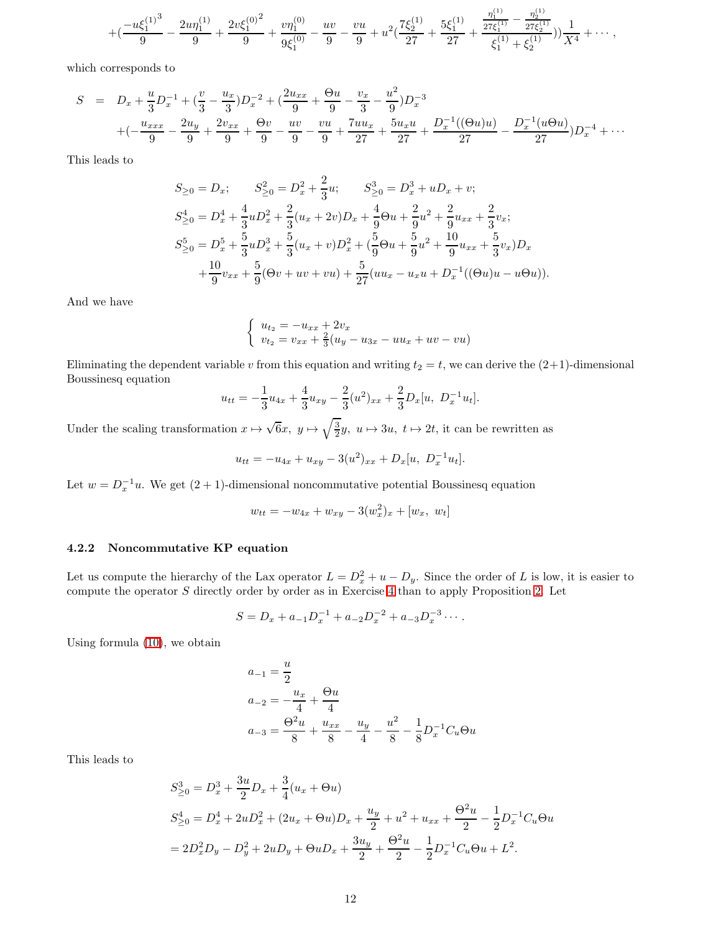$$
+ (\frac{-u\xi_1^{(1)^3}}{9}-\frac{2u\eta_1^{(1)}}{9}+\frac{2v\xi_1^{(0)^2}}{9}+\frac{v\eta_1^{(0)}}{9\xi_1^{(0)}}-\frac{uv}{9}-\frac{vu}{9}+u^2(\frac{7\xi_2^{(1)}}{27}+\frac{5\xi_1^{(1)}}{27}+\frac{\frac{\eta_1^{(1)}}{27\xi_1^{(1)}}-\frac{\eta_2^{(1)}}{27\xi_2^{(1)}}}{\xi_1^{(1)}+\xi_2^{(1)}}))\frac{1}{X^4}+\cdots,
$$

which corresponds to

$$
S = D_x + \frac{u}{3}D_x^{-1} + \left(\frac{v}{3} - \frac{u_x}{3}\right)D_x^{-2} + \left(\frac{2u_{xx}}{9} + \frac{\Theta u}{9} - \frac{v_x}{3} - \frac{u^2}{9}\right)D_x^{-3}
$$
  
+  $\left(-\frac{u_{xxx}}{9} - \frac{2u_y}{9} + \frac{2v_{xx}}{9} + \frac{\Theta v}{9} - \frac{uv}{9} - \frac{vu}{9} + \frac{7uu_x}{27} + \frac{5u_xu}{27} + \frac{D_x^{-1}((\Theta u)u)}{27} - \frac{D_x^{-1}(u\Theta u)}{27}\right)D_x^{-4} + \cdots$ 

This leads to

$$
S_{\geq 0} = D_x; \t S_{\geq 0}^2 = D_x^2 + \frac{2}{3}u; \t S_{\geq 0}^3 = D_x^3 + uD_x + v;
$$
  
\n
$$
S_{\geq 0}^4 = D_x^4 + \frac{4}{3}uD_x^2 + \frac{2}{3}(u_x + 2v)D_x + \frac{4}{9}\Theta u + \frac{2}{9}u^2 + \frac{2}{9}u_{xx} + \frac{2}{3}v_x;
$$
  
\n
$$
S_{\geq 0}^5 = D_x^5 + \frac{5}{3}uD_x^3 + \frac{5}{3}(u_x + v)D_x^2 + (\frac{5}{9}\Theta u + \frac{5}{9}u^2 + \frac{10}{9}u_{xx} + \frac{5}{3}v_x)D_x
$$
  
\n
$$
+ \frac{10}{9}v_{xx} + \frac{5}{9}(\Theta v + uv + vu) + \frac{5}{27}(uu_x - u_xu + D_x^{-1}((\Theta u)u - u\Theta u)).
$$

And we have

$$
\begin{cases}\n u_{t_2} = -u_{xx} + 2v_x \\
 v_{t_2} = v_{xx} + \frac{2}{3}(u_y - u_{3x} - uu_x + uv - vu)\n\end{cases}
$$

Eliminating the dependent variable v from this equation and writing  $t_2 = t$ , we can derive the  $(2+1)$ -dimensional Boussinesq equation

$$
u_{tt} = -\frac{1}{3}u_{4x} + \frac{4}{3}u_{xy} - \frac{2}{3}(u^2)_{xx} + \frac{2}{3}D_x[u, D_x^{-1}u_t].
$$

Under the scaling transformation  $x \mapsto \sqrt{6}x$ ,  $y \mapsto \sqrt{\frac{3}{2}}y$ ,  $u \mapsto 3u$ ,  $t \mapsto 2t$ , it can be rewritten as

$$
u_{tt} = -u_{4x} + u_{xy} - 3(u^2)_{xx} + D_x[u, D_x^{-1}u_t].
$$

Let  $w = D_x^{-1}u$ . We get  $(2 + 1)$ -dimensional noncommutative potential Boussinesq equation

$$
w_{tt} = -w_{4x} + w_{xy} - 3(w_x^2)_x + [w_x, w_t]
$$

#### 4.2.2 Noncommutative KP equation

Let us compute the hierarchy of the Lax operator  $L = D_x^2 + u - D_y$ . Since the order of L is low, it is easier to compute the operator S directly order by order as in Exercise [4](#page-5-3) than to apply Proposition [2.](#page-7-0) Let

$$
S = D_x + a_{-1}D_x^{-1} + a_{-2}D_x^{-2} + a_{-3}D_x^{-3} \cdots
$$

Using formula [\(10\)](#page-6-0), we obtain

$$
a_{-1} = \frac{u}{2}
$$
  
\n
$$
a_{-2} = -\frac{u_x}{4} + \frac{\Theta u}{4}
$$
  
\n
$$
a_{-3} = \frac{\Theta^2 u}{8} + \frac{u_{xx}}{8} - \frac{u_y}{4} - \frac{u^2}{8} - \frac{1}{8} D_x^{-1} C_u \Theta u
$$

This leads to

$$
S_{\geq 0}^{3} = D_{x}^{3} + \frac{3u}{2}D_{x} + \frac{3}{4}(u_{x} + \Theta u)
$$
  
\n
$$
S_{\geq 0}^{4} = D_{x}^{4} + 2uD_{x}^{2} + (2u_{x} + \Theta u)D_{x} + \frac{u_{y}}{2} + u^{2} + u_{xx} + \frac{\Theta^{2}u}{2} - \frac{1}{2}D_{x}^{-1}C_{u}\Theta u
$$
  
\n
$$
= 2D_{x}^{2}D_{y} - D_{y}^{2} + 2uD_{y} + \Theta uD_{x} + \frac{3u_{y}}{2} + \frac{\Theta^{2}u}{2} - \frac{1}{2}D_{x}^{-1}C_{u}\Theta u + L^{2}.
$$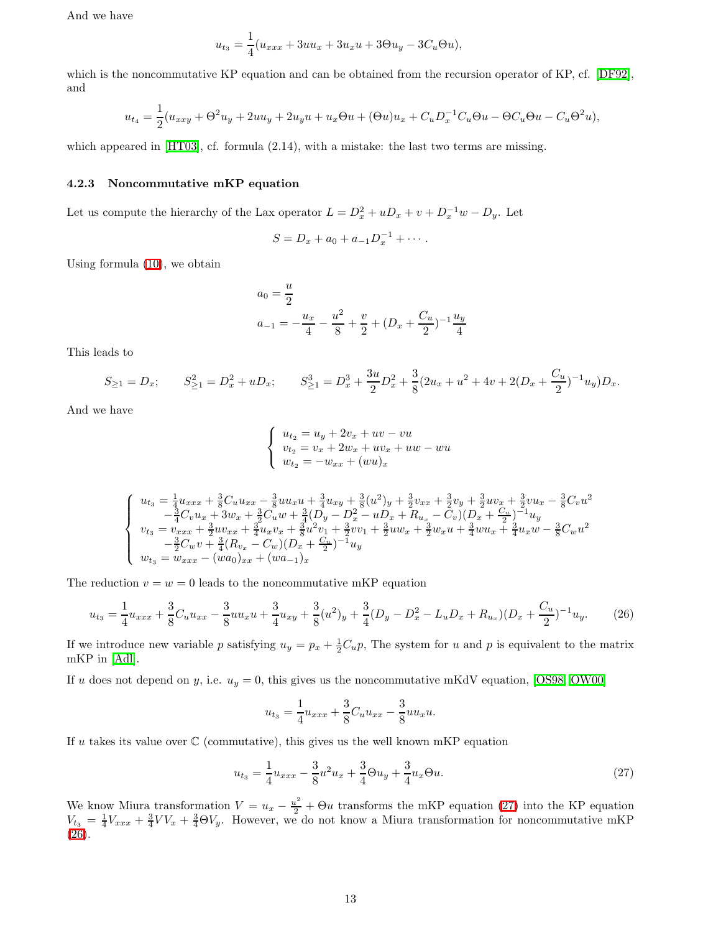And we have

$$
u_{t_3} = \frac{1}{4}(u_{xxx} + 3uu_x + 3u_xu + 3\Theta u_y - 3C_u\Theta u),
$$

which is the noncommutative KP equation and can be obtained from the recursion operator of KP, cf. [\[DF92\]](#page-15-4), and

$$
u_{t_4} = \frac{1}{2}(u_{xxy} + \Theta^2 u_y + 2uu_y + 2u_y u + u_x \Theta u + (\Theta u)u_x + C_u D_x^{-1} C_u \Theta u - \Theta C_u \Theta u - C_u \Theta^2 u),
$$

which appeared in [\[HT03\]](#page-15-19), cf. formula  $(2.14)$ , with a mistake: the last two terms are missing.

#### 4.2.3 Noncommutative mKP equation

Let us compute the hierarchy of the Lax operator  $L = D_x^2 + uD_x + v + D_x^{-1}w - D_y$ . Let

$$
S = D_x + a_0 + a_{-1}D_x^{-1} + \cdots.
$$

Using formula [\(10\)](#page-6-0), we obtain

$$
a_0 = \frac{u}{2}
$$
  

$$
a_{-1} = -\frac{u_x}{4} - \frac{u^2}{8} + \frac{v}{2} + (D_x + \frac{C_u}{2})^{-1} \frac{u_y}{4}
$$

This leads to

$$
S_{\geq 1} = D_x; \qquad S_{\geq 1}^2 = D_x^2 + uD_x; \qquad S_{\geq 1}^3 = D_x^3 + \frac{3u}{2}D_x^2 + \frac{3}{8}(2u_x + u^2 + 4v + 2(D_x + \frac{C_u}{2})^{-1}u_y)D_x.
$$

And we have

$$
\begin{cases}\nu_{t_2} = u_y + 2v_x + uv - vu \\
v_{t_2} = v_x + 2w_x + uv_x + uw - wu \\
w_{t_2} = -w_{xx} + (wu)_x\n\end{cases}
$$

$$
\left\{\begin{array}{l} u_{t_3}=\frac{1}{4}u_{xxx}+\frac{3}{8}C_u u_{xx}-\frac{3}{8}u u_x u+\frac{3}{4}u_{xy}+\frac{3}{8}(u^2)_y+\frac{3}{2}v_{xx}+\frac{3}{2}v_y+\frac{3}{2}u v_x+\frac{3}{2}v u_x-\frac{3}{8}C_v u^2\\ -\frac{3}{4}C_v u_x+3w_x+\frac{3}{2}C_u w+\frac{3}{4}(D_y-D_x^2-uD_x+R_{u_x}-C_v)(D_x+\frac{C_u}{2})^{-1}u_y\\ v_{t_3}=v_{xxx}+\frac{3}{2}u v_{xx}+\frac{3}{4}u_x v_x+\frac{3}{8}u^2 v_1+\frac{3}{2}v v_1+\frac{3}{2}u w_x+\frac{3}{2}w_x u+\frac{3}{4}u u_x+\frac{3}{4}u_x w-\frac{3}{8}C_w u^2\\ -\frac{3}{2}C_w v+\frac{3}{4}(R_{v_x}-C_w)(D_x+\frac{C_u}{2})^{-1}u_y\\ w_{t_3}=w_{xxx}-(wa_0)_{xx}+(wa_{-1})_x\end{array}\right.
$$

The reduction  $v = w = 0$  leads to the noncommutative mKP equation

$$
u_{t_3} = \frac{1}{4}u_{xxx} + \frac{3}{8}C_u u_{xx} - \frac{3}{8}u u_x u + \frac{3}{4}u_{xy} + \frac{3}{8}(u^2)_y + \frac{3}{4}(D_y - D_x^2 - L_u D_x + R_{u_x})(D_x + \frac{C_u}{2})^{-1}u_y.
$$
 (26)

<span id="page-12-1"></span>If we introduce new variable p satisfying  $u_y = p_x + \frac{1}{2}C_u p$ , The system for u and p is equivalent to the matrix mKP in [\[Adl\]](#page-14-1).

If u does not depend on y, i.e.  $u_y = 0$ , this gives us the noncommutative mKdV equation, [\[OS98,](#page-15-12) [OW00\]](#page-15-9)

$$
u_{t_3} = \frac{1}{4}u_{xxx} + \frac{3}{8}C_u u_{xx} - \frac{3}{8}u u_x u.
$$

If u takes its value over  $\mathbb C$  (commutative), this gives us the well known mKP equation

<span id="page-12-0"></span>
$$
u_{t_3} = \frac{1}{4}u_{xxx} - \frac{3}{8}u^2u_x + \frac{3}{4}\Theta u_y + \frac{3}{4}u_x\Theta u.
$$
 (27)

We know Miura transformation  $V = u_x - \frac{u^2}{2} + \Theta u$  transforms the mKP equation [\(27\)](#page-12-0) into the KP equation  $V_{t3} = \frac{1}{4}V_{xxx} + \frac{3}{4}VV_x + \frac{3}{4}\Theta V_y$ . However, we do not know a Miura transformation for noncommutative mKP [\(26\)](#page-12-1).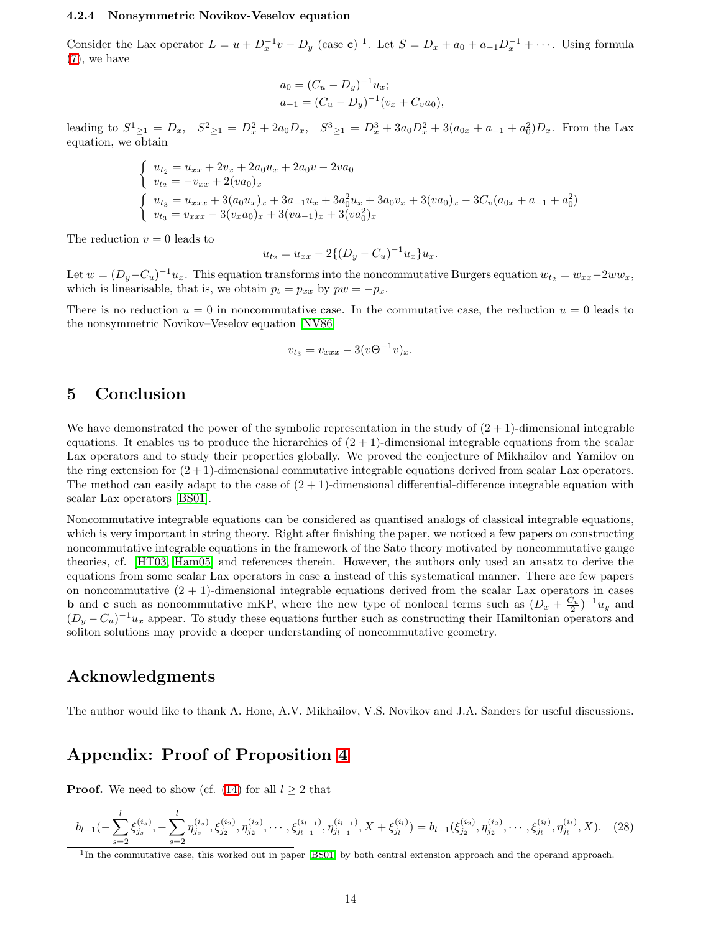#### 4.2.4 Nonsymmetric Novikov-Veselov equation

Consider the Lax operator  $L = u + D_x^{-1}v - D_y$  (case c)<sup>1</sup>. Let  $S = D_x + a_0 + a_{-1}D_x^{-1} + \cdots$ . Using formula [\(7\)](#page-4-0), we have

$$
a_0 = (C_u - D_y)^{-1} u_x;
$$
  
\n
$$
a_{-1} = (C_u - D_y)^{-1} (v_x + C_v a_0),
$$

leading to  $S^1_{\geq 1} = D_x$ ,  $S^2_{\geq 1} = D_x^2 + 2a_0D_x$ ,  $S^3_{\geq 1} = D_x^3 + 3a_0D_x^2 + 3(a_{0x} + a_{-1} + a_0^2)D_x$ . From the Lax equation, we obtain

$$
\begin{cases}\nu_{t_2} = u_{xx} + 2v_x + 2a_0u_x + 2a_0v - 2va_0 \\
v_{t_2} = -v_{xx} + 2(va_0)_x \\
u_{t_3} = u_{xxx} + 3(a_0u_x)_x + 3a_{-1}u_x + 3a_0^2u_x + 3a_0v_x + 3(va_0)_x - 3C_v(a_{0x} + a_{-1} + a_0^2) \\
v_{t_3} = v_{xxx} - 3(v_xa_0)_x + 3(va_{-1})_x + 3(va_0^2)_x\n\end{cases}
$$

The reduction  $v = 0$  leads to

$$
u_{t_2} = u_{xx} - 2\{(D_y - C_u)^{-1}u_x\}u_x.
$$

Let  $w = (D_y - C_u)^{-1}u_x$ . This equation transforms into the noncommutative Burgers equation  $w_{t_2} = w_{xx}-2ww_x$ , which is linearisable, that is, we obtain  $p_t = p_{xx}$  by  $pw = -p_x$ .

There is no reduction  $u = 0$  in noncommutative case. In the commutative case, the reduction  $u = 0$  leads to the nonsymmetric Novikov–Veselov equation [\[NV86\]](#page-15-20)

$$
v_{t_3} = v_{xxx} - 3(v\Theta^{-1}v)_x.
$$

### 5 Conclusion

We have demonstrated the power of the symbolic representation in the study of  $(2 + 1)$ -dimensional integrable equations. It enables us to produce the hierarchies of  $(2 + 1)$ -dimensional integrable equations from the scalar Lax operators and to study their properties globally. We proved the conjecture of Mikhailov and Yamilov on the ring extension for  $(2 + 1)$ -dimensional commutative integrable equations derived from scalar Lax operators. The method can easily adapt to the case of  $(2 + 1)$ -dimensional differential-difference integrable equation with scalar Lax operators [\[BS01\]](#page-15-13).

Noncommutative integrable equations can be considered as quantised analogs of classical integrable equations, which is very important in string theory. Right after finishing the paper, we noticed a few papers on constructing noncommutative integrable equations in the framework of the Sato theory motivated by noncommutative gauge theories, cf. [\[HT03,](#page-15-19) [Ham05\]](#page-15-21) and references therein. However, the authors only used an ansatz to derive the equations from some scalar Lax operators in case a instead of this systematical manner. There are few papers on noncommutative  $(2 + 1)$ -dimensional integrable equations derived from the scalar Lax operators in cases **b** and **c** such as noncommutative mKP, where the new type of nonlocal terms such as  $(D_x + \frac{C_u}{2})^{-1}u_y$  and  $(D_y - C_u)^{-1}u_x$  appear. To study these equations further such as constructing their Hamiltonian operators and soliton solutions may provide a deeper understanding of noncommutative geometry.

### Acknowledgments

The author would like to thank A. Hone, A.V. Mikhailov, V.S. Novikov and J.A. Sanders for useful discussions.

## Appendix: Proof of Proposition [4](#page-8-1)

**Proof.** We need to show (cf. [\(14\)](#page-6-2) for all  $l \geq 2$  that

<span id="page-13-0"></span>
$$
b_{l-1}(-\sum_{s=2}^{l} \xi_{j_s}^{(i_s)}, -\sum_{s=2}^{l} \eta_{j_s}^{(i_s)}, \xi_{j_2}^{(i_2)}, \eta_{j_2}^{(i_2)}, \cdots, \xi_{j_{l-1}}^{(i_{l-1})}, \eta_{j_{l-1}}^{(i_{l-1})}, X + \xi_{j_l}^{(i_l)}) = b_{l-1}(\xi_{j_2}^{(i_2)}, \eta_{j_2}^{(i_2)}, \cdots, \xi_{j_l}^{(i_l)}, \eta_{j_l}^{(i_l)}, X). \tag{28}
$$

<sup>&</sup>lt;sup>1</sup>In the commutative case, this worked out in paper [\[BS01\]](#page-15-13) by both central extension approach and the operand approach.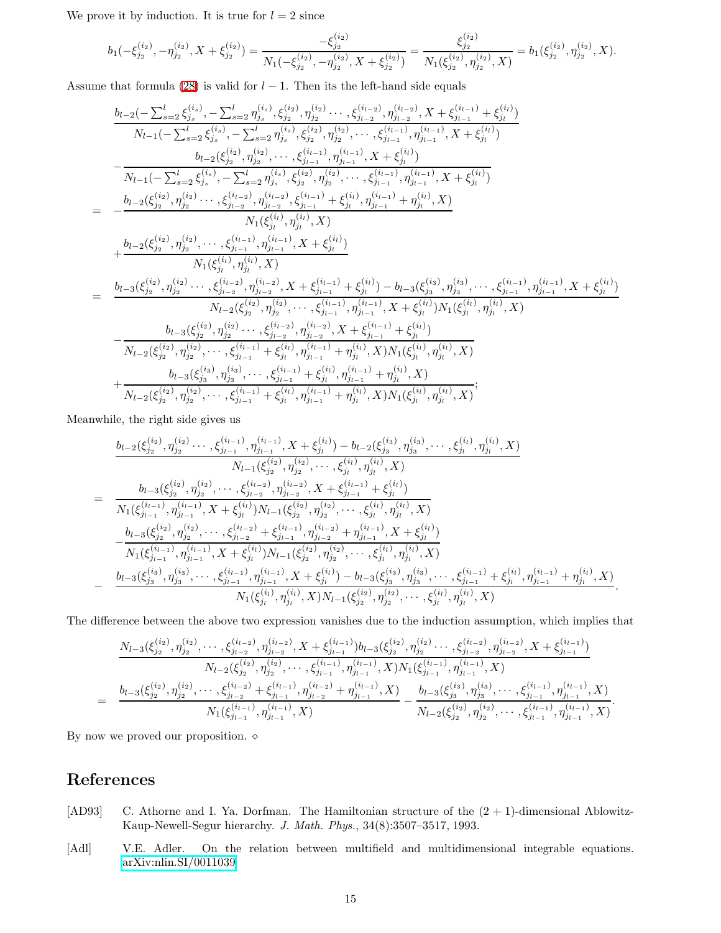We prove it by induction. It is true for  $l = 2$  since

$$
b_1(-\xi_{j_2}^{(i_2)},-\eta_{j_2}^{(i_2)},X+\xi_{j_2}^{(i_2)})=\frac{-\xi_{j_2}^{(i_2)}}{N_1(-\xi_{j_2}^{(i_2)},-\eta_{j_2}^{(i_2)},X+\xi_{j_2}^{(i_2)})}=\frac{\xi_{j_2}^{(i_2)}}{N_1(\xi_{j_2}^{(i_2)},\eta_{j_2}^{(i_2)},X)}=b_1(\xi_{j_2}^{(i_2)},\eta_{j_2}^{(i_2)},X).
$$

Assume that formula [\(28\)](#page-13-0) is valid for  $l - 1$ . Then its the left-hand side equals

$$
\begin{aligned}\n&\frac{b_{l-2}(-\sum_{s=2}^{l} \xi_{js}^{(i_{s})}, -\sum_{s=2}^{l} \eta_{js}^{(i_{s})}, \xi_{js}^{(i_{2})}, \eta_{js}^{(i_{2})}\cdots,\xi_{j_{l-2}}^{(i_{l-2})}, \eta_{j_{l-2}}^{(i_{l-2})}, X+\xi_{j_{l-1}}^{(i_{l-1})}+\xi_{j_{l}}^{(i_{l})}) \\
&\frac{N_{l-1}(-\sum_{s=2}^{l} \xi_{js}^{(i_{s})}, -\sum_{s=2}^{l} \eta_{js}^{(i_{s})}, \xi_{js}^{(i_{2})}, \eta_{js}^{(i_{2})}\cdots,\xi_{j_{l-1}}^{(i_{l-1})}, \eta_{j_{l-1}}^{(i_{l-1})}, X+\xi_{j_{l}}^{(i_{l})}) \\
&-\frac{b_{l-2}(\xi_{js}^{(i_{2})}, \eta_{js}^{(i_{2})}, \cdots,\xi_{j_{l-1}}^{(i_{l-1})}, \eta_{j_{l-1}}^{(i_{l-1})}, X+\xi_{j_{l}}^{(i_{l})}) \\
&-\frac{b_{l-2}(\xi_{js}^{(i_{2})}, \eta_{js}^{(i_{2})}\cdots,\xi_{j_{l-2}}^{(i_{l-2})}, \eta_{j_{l-2}}^{(i_{l-1})}, \eta_{j_{l-1}}^{(i_{l-1})}, X+\xi_{j_{l}}^{(i_{l})}) \\
&-\frac{b_{l-2}(\xi_{j_{2}}^{(i_{2})}, \eta_{js}^{(i_{2})}\cdots,\xi_{j_{l-2}}^{(i_{l-2})}, \eta_{j_{l-2}}^{(i_{l-1})}, \xi_{j_{l-1}}^{(i_{l-1})}+\xi_{j_{l}}^{(i_{l})}, \eta_{j_{l-1}}^{(i_{l-1})}+\eta_{j_{l}}^{(i_{l})}, X) \\
&+\frac{b_{l-2}(\xi_{js}^{(i_{2})}, \eta_{js}^{(i_{2})}\cdots,\xi_{j_{l-2}}^{(i_{l-1})}, \eta_{j_{l-1}}^{(i_{l-1})}, X+\xi_{j_{l}}^{(i_{l})})}{N_{1}(\xi_{ji}^{(i)}, \eta_{js}^{(i_{l})}, X)} \\
&+\frac{b_{l-3}(\xi_{j_{2
$$

Meanwhile, the right side gives us

$$
\frac{b_{l-2}(\xi_{j_2}^{(i_2)}, \eta_{j_2}^{(i_2)}\cdots, \xi_{j_{l-1}}^{(i_{l-1})}, \eta_{j_{l-1}}^{(i_{l-1})}, X + \xi_{j_l}^{(i_l)}) - b_{l-2}(\xi_{j_3}^{(i_3)}, \eta_{j_3}^{(i_3)}, \cdots, \xi_{j_l}^{(i_l)}, \eta_{j_l}^{(i_l)}, X) \n\frac{N_{l-1}(\xi_{j_2}^{(i_2)}, \eta_{j_2}^{(i_2)}, \cdots, \xi_{j_l}^{(i_l)}, \eta_{j_l}^{(i_l)}, X)}{N_{l-1}(\xi_{j_2}^{(i_2)}, \eta_{j_2}^{(i_2)}, \cdots, \xi_{j_{l-2}}^{(i_{l-2})}, \eta_{j_{l-2}}^{(i_{l-2})}, X + \xi_{j_{l-1}}^{(i_{l-1})} + \xi_{j_l}^{(i_l)}) \n\frac{b_{l-3}(\xi_{j_2}^{(i_2)}, \eta_{j_2}^{(i_2)}, \cdots, \xi_{j_{l-2}}^{(i_{l-2})}, \eta_{j_{l-2}}^{(i_{l-2})}, X + \xi_{j_{l-1}}^{(i_{l-1})} + \xi_{j_l}^{(i_l)}) \n\frac{b_{l-3}(\xi_{j_2}^{(i_2)}, \eta_{j_2}^{(i_2)}, \cdots, \xi_{j_{l-2}}^{(i_{l-1})}, \eta_{j_{l-2}}^{(i_{l-2})} + \eta_{j_{l-1}}^{(i_{l-1})}, X + \xi_{j_l}^{(i_l)}) \n\frac{b_{l-3}(\xi_{j_2}^{(i_2)}, \eta_{j_2}^{(i_2)}, \cdots, \xi_{j_l}^{(i_{l-1})}, \eta_{j_{l-1}}^{(i_{l-2})} + \eta_{j_{l-1}}^{(i_{l-1})}, X + \xi_{j_l}^{(i_l)}) \n\frac{b_{l-3}(\xi_{j_3}^{(i_3)}, \eta_{j_3}^{(i_3)}, \cdots, \xi_{j_{l-1}}^{(i_{l-1})}, \eta_{j_{l-1}}^{(i_{l-1})}, X + \xi_{j_l}^{(i_l)}) - b_{l-3}(\xi_{j_3}^{(i_3)}, \eta_{j_3}
$$

The difference between the above two expression vanishes due to the induction assumption, which implies that

$$
\frac{N_{l-3}(\xi_{j_2}^{(i_2)},\eta_{j_2}^{(i_2)},\cdots,\xi_{j_{l-2}}^{(i_{l-2})},\eta_{j_{l-2}}^{(i_{l-2})},X+\xi_{j_{l-1}}^{(i_{l-1})})b_{l-3}(\xi_{j_2}^{(i_2)},\eta_{j_2}^{(i_2)}\cdots,\xi_{j_{l-2}}^{(i_{l-2})},\eta_{j_{l-2}}^{(i_{l-2})},X+\xi_{j_{l-1}}^{(i_{l-1})})}{N_{l-2}(\xi_{j_2}^{(i_2)},\eta_{j_2}^{(i_2)},\cdots,\xi_{j_{l-1}}^{(i_{l-1})},\eta_{j_{l-1}}^{(i_{l-1})},X)N_1(\xi_{j_{l-1}}^{(i_{l-1})},\eta_{j_{l-1}}^{(i_{l-1})},X)}\\=\frac{b_{l-3}(\xi_{j_2}^{(i_2)},\eta_{j_2}^{(i_2)},\cdots,\xi_{j_{l-2}}^{(i_{l-2})}+\xi_{j_{l-1}}^{(i_{l-1})},\eta_{j_{l-2}}^{(i_{l-2})}+\eta_{j_{l-1}}^{(i_{l-1})},X)}{N_1(\xi_{j_{l-1}}^{(i_{l-1})},\eta_{j_{l-1}}^{(i_{l-1})},X)}-\frac{b_{l-3}(\xi_{j_3}^{(i_3)},\eta_{j_3}^{(i_3)},\cdots,\xi_{j_{l-1}}^{(i_{l-1})},\eta_{j_{l-1}}^{(i_{l-1})},X)}{N_{l-2}(\xi_{j_2}^{(i_2)},\eta_{j_2}^{(i_2)},\cdots,\xi_{j_{l-1}}^{(i_{l-1})},\eta_{j_{l-1}}^{(i_{l-1})},X)}.
$$

By now we proved our proposition.  $\diamond$ 

# References

- <span id="page-14-0"></span>[AD93] C. Athorne and I. Ya. Dorfman. The Hamiltonian structure of the  $(2 + 1)$ -dimensional Ablowitz-Kaup-Newell-Segur hierarchy. J. Math. Phys., 34(8):3507–3517, 1993.
- <span id="page-14-1"></span>[Adl] V.E. Adler. On the relation between multifield and multidimensional integrable equations. [arXiv:nlin.SI/0011039.](http://arxiv.org/abs/nlin/0011039)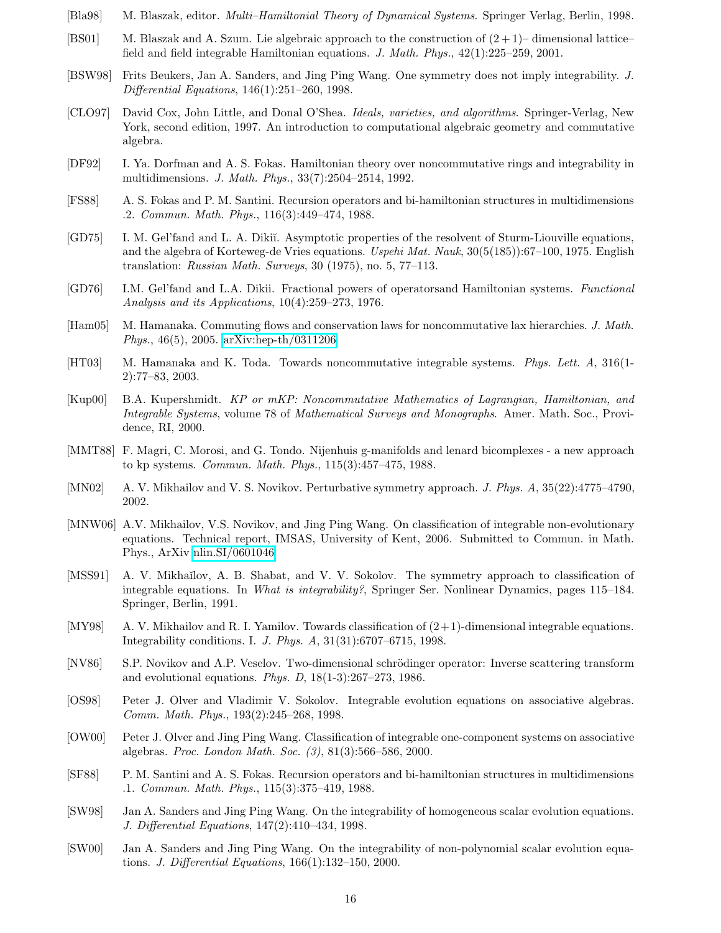- <span id="page-15-15"></span><span id="page-15-13"></span>[Bla98] M. Blaszak, editor. Multi–Hamiltonial Theory of Dynamical Systems. Springer Verlag, Berlin, 1998.
- [BS01] M. Blaszak and A. Szum. Lie algebraic approach to the construction of  $(2 + 1)$  dimensional lattice– field and field integrable Hamiltonian equations. J. Math. Phys., 42(1):225–259, 2001.
- <span id="page-15-8"></span>[BSW98] Frits Beukers, Jan A. Sanders, and Jing Ping Wang. One symmetry does not imply integrability. J. Differential Equations, 146(1):251–260, 1998.
- <span id="page-15-17"></span>[CLO97] David Cox, John Little, and Donal O'Shea. Ideals, varieties, and algorithms. Springer-Verlag, New York, second edition, 1997. An introduction to computational algebraic geometry and commutative algebra.
- <span id="page-15-4"></span>[DF92] I. Ya. Dorfman and A. S. Fokas. Hamiltonian theory over noncommutative rings and integrability in multidimensions. J. Math. Phys., 33(7):2504–2514, 1992.
- <span id="page-15-2"></span>[FS88] A. S. Fokas and P. M. Santini. Recursion operators and bi-hamiltonian structures in multidimensions .2. Commun. Math. Phys., 116(3):449–474, 1988.
- <span id="page-15-6"></span>[GD75] I. M. Gel'fand and L. A. Dikiĭ. Asymptotic properties of the resolvent of Sturm-Liouville equations, and the algebra of Korteweg-de Vries equations. Uspehi Mat. Nauk,  $30(5(185))$ :67–100, 1975. English translation: Russian Math. Surveys, 30 (1975), no. 5, 77-113.
- <span id="page-15-16"></span>[GD76] I.M. Gel'fand and L.A. Dikii. Fractional powers of operatorsand Hamiltonian systems. Functional Analysis and its Applications, 10(4):259–273, 1976.
- <span id="page-15-21"></span><span id="page-15-19"></span>[Ham05] M. Hamanaka. Commuting flows and conservation laws for noncommutative lax hierarchies. J. Math. Phys., 46(5), 2005. [arXiv:hep-th/0311206.](http://arxiv.org/abs/hep-th/0311206)
- [HT03] M. Hamanaka and K. Toda. Towards noncommutative integrable systems. Phys. Lett. A, 316(1- 2):77–83, 2003.
- <span id="page-15-14"></span>[Kup00] B.A. Kupershmidt. KP or mKP: Noncommutative Mathematics of Lagrangian, Hamiltonian, and Integrable Systems, volume 78 of Mathematical Surveys and Monographs. Amer. Math. Soc., Providence, RI, 2000.
- <span id="page-15-3"></span>[MMT88] F. Magri, C. Morosi, and G. Tondo. Nijenhuis g-manifolds and lenard bicomplexes - a new approach to kp systems. Commun. Math. Phys., 115(3):457–475, 1988.
- <span id="page-15-10"></span>[MN02] A. V. Mikhailov and V. S. Novikov. Perturbative symmetry approach. J. Phys. A, 35(22):4775–4790, 2002.
- <span id="page-15-11"></span>[MNW06] A.V. Mikhailov, V.S. Novikov, and Jing Ping Wang. On classification of integrable non-evolutionary equations. Technical report, IMSAS, University of Kent, 2006. Submitted to Commun. in Math. Phys., ArXiv [nlin.SI/0601046.](http://arxiv.org/abs/nlin/0601046)
- <span id="page-15-5"></span>[MSS91] A. V. Mikhaĭlov, A. B. Shabat, and V. V. Sokolov. The symmetry approach to classification of integrable equations. In What is integrability?, Springer Ser. Nonlinear Dynamics, pages 115–184. Springer, Berlin, 1991.
- <span id="page-15-0"></span>[MY98] A. V. Mikhailov and R. I. Yamilov. Towards classification of (2+1)-dimensional integrable equations. Integrability conditions. I. J. Phys. A, 31(31):6707–6715, 1998.
- <span id="page-15-20"></span>[NV86] S.P. Novikov and A.P. Veselov. Two-dimensional schrödinger operator: Inverse scattering transform and evolutional equations. *Phys. D*,  $18(1-3):267-273$ ,  $1986$ .
- <span id="page-15-12"></span>[OS98] Peter J. Olver and Vladimir V. Sokolov. Integrable evolution equations on associative algebras. Comm. Math. Phys., 193(2):245–268, 1998.
- <span id="page-15-9"></span>[OW00] Peter J. Olver and Jing Ping Wang. Classification of integrable one-component systems on associative algebras. Proc. London Math. Soc. (3), 81(3):566–586, 2000.
- <span id="page-15-1"></span>[SF88] P. M. Santini and A. S. Fokas. Recursion operators and bi-hamiltonian structures in multidimensions .1. Commun. Math. Phys., 115(3):375–419, 1988.
- <span id="page-15-7"></span>[SW98] Jan A. Sanders and Jing Ping Wang. On the integrability of homogeneous scalar evolution equations. J. Differential Equations, 147(2):410–434, 1998.
- <span id="page-15-18"></span>[SW00] Jan A. Sanders and Jing Ping Wang. On the integrability of non-polynomial scalar evolution equations. J. Differential Equations, 166(1):132–150, 2000.